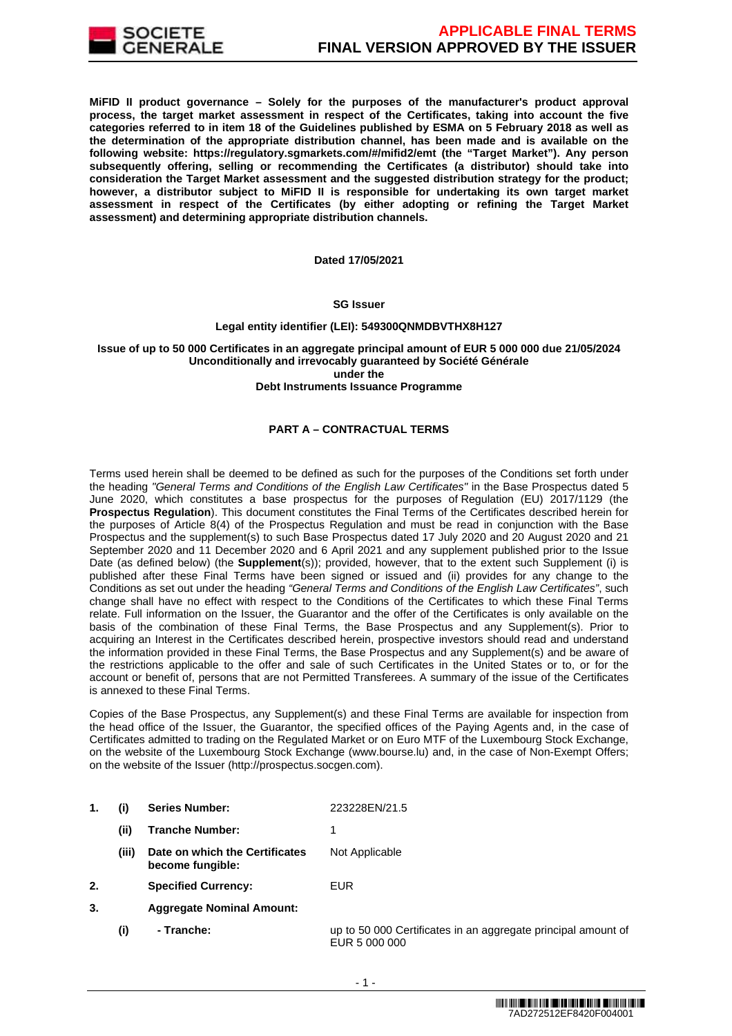

**MiFID II product governance – Solely for the purposes of the manufacturer's product approval process, the target market assessment in respect of the Certificates, taking into account the five categories referred to in item 18 of the Guidelines published by ESMA on 5 February 2018 as well as the determination of the appropriate distribution channel, has been made and is available on the following website: https://regulatory.sgmarkets.com/#/mifid2/emt (the "Target Market"). Any person subsequently offering, selling or recommending the Certificates (a distributor) should take into consideration the Target Market assessment and the suggested distribution strategy for the product; however, a distributor subject to MiFID II is responsible for undertaking its own target market assessment in respect of the Certificates (by either adopting or refining the Target Market assessment) and determining appropriate distribution channels.**

#### **Dated 17/05/2021**

## **SG Issuer**

#### **Legal entity identifier (LEI): 549300QNMDBVTHX8H127**

# **Issue of up to 50 000 Certificates in an aggregate principal amount of EUR 5 000 000 due 21/05/2024 Unconditionally and irrevocably guaranteed by Société Générale under the**

# **Debt Instruments Issuance Programme**

# **PART A – CONTRACTUAL TERMS**

Terms used herein shall be deemed to be defined as such for the purposes of the Conditions set forth under the heading "General Terms and Conditions of the English Law Certificates" in the Base Prospectus dated 5 June 2020, which constitutes a base prospectus for the purposes of Regulation (EU) 2017/1129 (the **Prospectus Regulation**). This document constitutes the Final Terms of the Certificates described herein for the purposes of Article 8(4) of the Prospectus Regulation and must be read in conjunction with the Base Prospectus and the supplement(s) to such Base Prospectus dated 17 July 2020 and 20 August 2020 and 21 September 2020 and 11 December 2020 and 6 April 2021 and any supplement published prior to the Issue Date (as defined below) (the **Supplement**(s)); provided, however, that to the extent such Supplement (i) is published after these Final Terms have been signed or issued and (ii) provides for any change to the Conditions as set out under the heading "General Terms and Conditions of the English Law Certificates", such change shall have no effect with respect to the Conditions of the Certificates to which these Final Terms relate. Full information on the Issuer, the Guarantor and the offer of the Certificates is only available on the basis of the combination of these Final Terms, the Base Prospectus and any Supplement(s). Prior to acquiring an Interest in the Certificates described herein, prospective investors should read and understand the information provided in these Final Terms, the Base Prospectus and any Supplement(s) and be aware of the restrictions applicable to the offer and sale of such Certificates in the United States or to, or for the account or benefit of, persons that are not Permitted Transferees. A summary of the issue of the Certificates is annexed to these Final Terms.

Copies of the Base Prospectus, any Supplement(s) and these Final Terms are available for inspection from the head office of the Issuer, the Guarantor, the specified offices of the Paying Agents and, in the case of Certificates admitted to trading on the Regulated Market or on Euro MTF of the Luxembourg Stock Exchange, on the website of the Luxembourg Stock Exchange (www.bourse.lu) and, in the case of Non-Exempt Offers; on the website of the Issuer (http://prospectus.socgen.com).

- **1. (i) Series Number:** 223228EN/21.5
	- **(ii) Tranche Number:** 1
	- **(iii) Date on which the Certificates become fungible:** Not Applicable
- **2. Specified Currency:** EUR
- **3. Aggregate Nominal Amount:**
	- **(i) Tranche:** up to 50 000 Certificates in an aggregate principal amount of EUR 5 000 000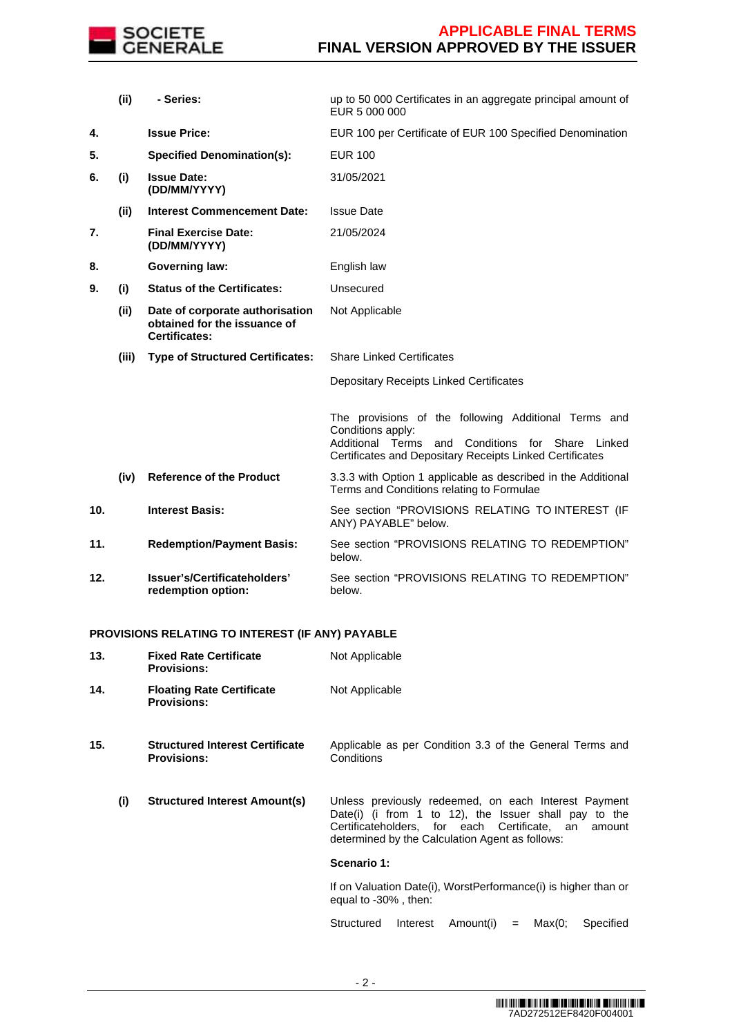

|     | (ii)  | - Series:                                                                               | up to 50 000 Certificates in an aggregate principal amount of<br>EUR 5 000 000                                                                                                                     |
|-----|-------|-----------------------------------------------------------------------------------------|----------------------------------------------------------------------------------------------------------------------------------------------------------------------------------------------------|
| 4.  |       | <b>Issue Price:</b>                                                                     | EUR 100 per Certificate of EUR 100 Specified Denomination                                                                                                                                          |
| 5.  |       | <b>Specified Denomination(s):</b>                                                       | <b>EUR 100</b>                                                                                                                                                                                     |
| 6.  | (i)   | <b>Issue Date:</b><br>(DD/MM/YYYY)                                                      | 31/05/2021                                                                                                                                                                                         |
|     | (ii)  | <b>Interest Commencement Date:</b>                                                      | <b>Issue Date</b>                                                                                                                                                                                  |
| 7.  |       | <b>Final Exercise Date:</b><br>(DD/MM/YYYY)                                             | 21/05/2024                                                                                                                                                                                         |
| 8.  |       | <b>Governing law:</b>                                                                   | English law                                                                                                                                                                                        |
| 9.  | (i)   | <b>Status of the Certificates:</b>                                                      | Unsecured                                                                                                                                                                                          |
|     | (ii)  | Date of corporate authorisation<br>obtained for the issuance of<br><b>Certificates:</b> | Not Applicable                                                                                                                                                                                     |
|     | (iii) | <b>Type of Structured Certificates:</b>                                                 | <b>Share Linked Certificates</b>                                                                                                                                                                   |
|     |       |                                                                                         | <b>Depositary Receipts Linked Certificates</b>                                                                                                                                                     |
|     |       |                                                                                         | The provisions of the following Additional Terms and<br>Conditions apply:<br>Additional Terms<br>and<br>Conditions for Share<br>Linked<br>Certificates and Depositary Receipts Linked Certificates |
|     | (iv)  | <b>Reference of the Product</b>                                                         | 3.3.3 with Option 1 applicable as described in the Additional<br>Terms and Conditions relating to Formulae                                                                                         |
| 10. |       | <b>Interest Basis:</b>                                                                  | See section "PROVISIONS RELATING TO INTEREST (IF<br>ANY) PAYABLE" below.                                                                                                                           |
| 11. |       | <b>Redemption/Payment Basis:</b>                                                        | See section "PROVISIONS RELATING TO REDEMPTION"<br>below.                                                                                                                                          |
| 12. |       | Issuer's/Certificateholders'<br>redemption option:                                      | See section "PROVISIONS RELATING TO REDEMPTION"<br>below.                                                                                                                                          |

# **PROVISIONS RELATING TO INTEREST (IF ANY) PAYABLE**

| 13. | <b>Fixed Rate Certificate</b><br><b>Provisions:</b>          | Not Applicable                                                                                                                                                                                                             |  |  |
|-----|--------------------------------------------------------------|----------------------------------------------------------------------------------------------------------------------------------------------------------------------------------------------------------------------------|--|--|
| 14. | <b>Floating Rate Certificate</b><br><b>Provisions:</b>       | Not Applicable                                                                                                                                                                                                             |  |  |
| 15. | <b>Structured Interest Certificate</b><br><b>Provisions:</b> | Applicable as per Condition 3.3 of the General Terms and<br>Conditions                                                                                                                                                     |  |  |
| (i) | <b>Structured Interest Amount(s)</b>                         | Unless previously redeemed, on each Interest Payment<br>Date(i) (i from 1 to 12), the Issuer shall pay to the<br>Certificateholders. for each Certificate. an<br>amount<br>determined by the Calculation Agent as follows: |  |  |
|     |                                                              | Scenario 1:                                                                                                                                                                                                                |  |  |
|     |                                                              | If on Valuation Date(i), WorstPerformance(i) is higher than or<br>equal to -30%, then:                                                                                                                                     |  |  |
|     |                                                              | Structured<br>Amount(i)<br>Max(0;<br>Specified<br>Interest<br>$=$                                                                                                                                                          |  |  |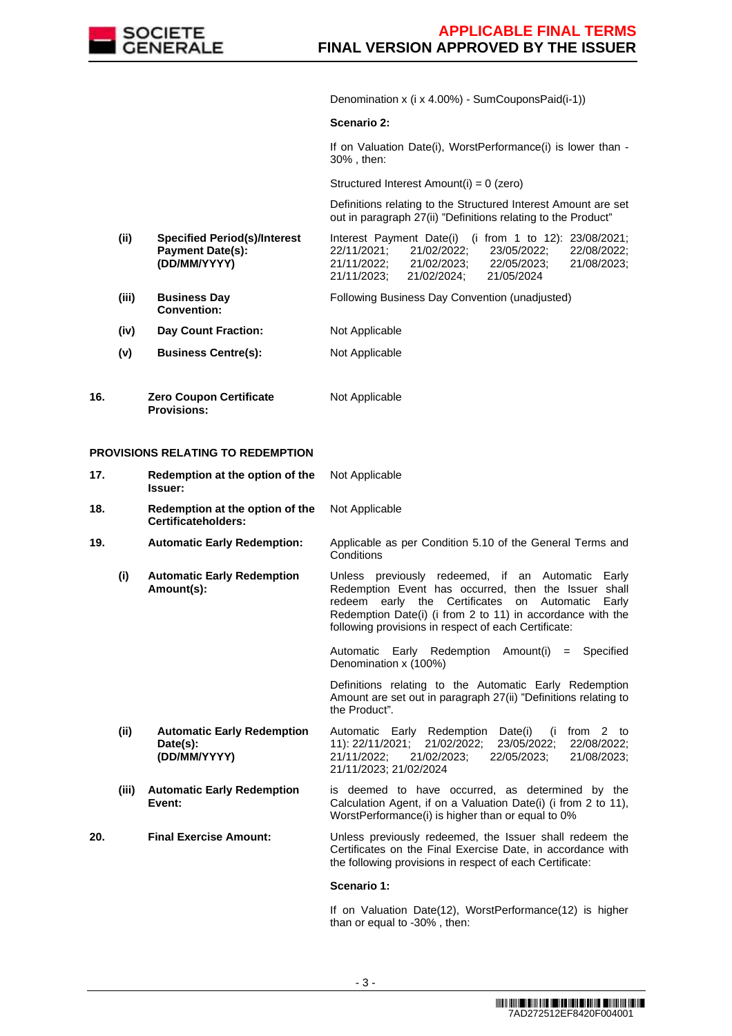

Denomination x (i x 4.00%) - SumCouponsPaid(i-1))

#### **Scenario 2:**

If on Valuation Date(i), WorstPerformance(i) is lower than -30% , then:

Structured Interest Amount(i) = 0 (zero)

 Definitions relating to the Structured Interest Amount are set out in paragraph 27(ii) "Definitions relating to the Product"

- **(ii) Specified Period(s)/Interest Payment Date(s): (DD/MM/YYYY)** Interest Payment Date(i) (i from 1 to 12): 23/08/2021;<br>22/11/2021: 21/02/2022: 23/05/2022: 22/08/2022: 22/11/2021; 21/02/2022; 23/05/2022; 22/08/2022; 21/11/2022; 21/02/2023; 22/05/2023; 21/08/2023; 21/02/2024;
- **(iii) Business Day Convention:** Following Business Day Convention (unadjusted)
- **(iv) Day Count Fraction:** Not Applicable
- **(v) Business Centre(s):** Not Applicable
- **16. Zero Coupon Certificate Provisions:** Not Applicable

## **PROVISIONS RELATING TO REDEMPTION**

| 17.  | Redemption at the option of the<br>Issuer:                    | Not Applicable                                                                                                                                                                                                                                                                                  |
|------|---------------------------------------------------------------|-------------------------------------------------------------------------------------------------------------------------------------------------------------------------------------------------------------------------------------------------------------------------------------------------|
| 18.  | Redemption at the option of the<br>Certificateholders:        | Not Applicable                                                                                                                                                                                                                                                                                  |
| 19.  | <b>Automatic Early Redemption:</b>                            | Applicable as per Condition 5.10 of the General Terms and<br>Conditions                                                                                                                                                                                                                         |
| (i)  | <b>Automatic Early Redemption</b><br>Amount(s):               | Unless previously redeemed, if an Automatic<br>Earlv<br>Redemption Event has occurred, then the Issuer shall<br>redeem early the Certificates<br>Automatic<br>on<br>Early<br>Redemption Date(i) (i from 2 to 11) in accordance with the<br>following provisions in respect of each Certificate: |
|      |                                                               | Automatic Early Redemption Amount(i) = Specified<br>Denomination x (100%)                                                                                                                                                                                                                       |
|      |                                                               | Definitions relating to the Automatic Early Redemption<br>Amount are set out in paragraph 27(ii) "Definitions relating to<br>the Product".                                                                                                                                                      |
| (ii) | <b>Automatic Early Redemption</b><br>Date(s):<br>(DD/MM/YYYY) | Automatic Early Redemption Date(i)<br>$(i$ from 2 to<br>11): 22/11/2021;<br>21/02/2022;<br>23/05/2022;<br>22/08/2022;<br>21/11/2022;<br>21/02/2023;<br>21/08/2023;<br>22/05/2023;<br>21/11/2023; 21/02/2024                                                                                     |
|      | (iii)<br><b>Automatic Early Redemption</b><br>Event:          | is deemed to have occurred, as determined by the<br>Calculation Agent, if on a Valuation Date(i) (i from 2 to 11),<br>WorstPerformance(i) is higher than or equal to 0%                                                                                                                         |
| 20.  | <b>Final Exercise Amount:</b>                                 | Unless previously redeemed, the Issuer shall redeem the<br>Certificates on the Final Exercise Date, in accordance with<br>the following provisions in respect of each Certificate:                                                                                                              |
|      |                                                               | Scenario 1:                                                                                                                                                                                                                                                                                     |

If on Valuation Date(12), WorstPerformance(12) is higher than or equal to -30% , then: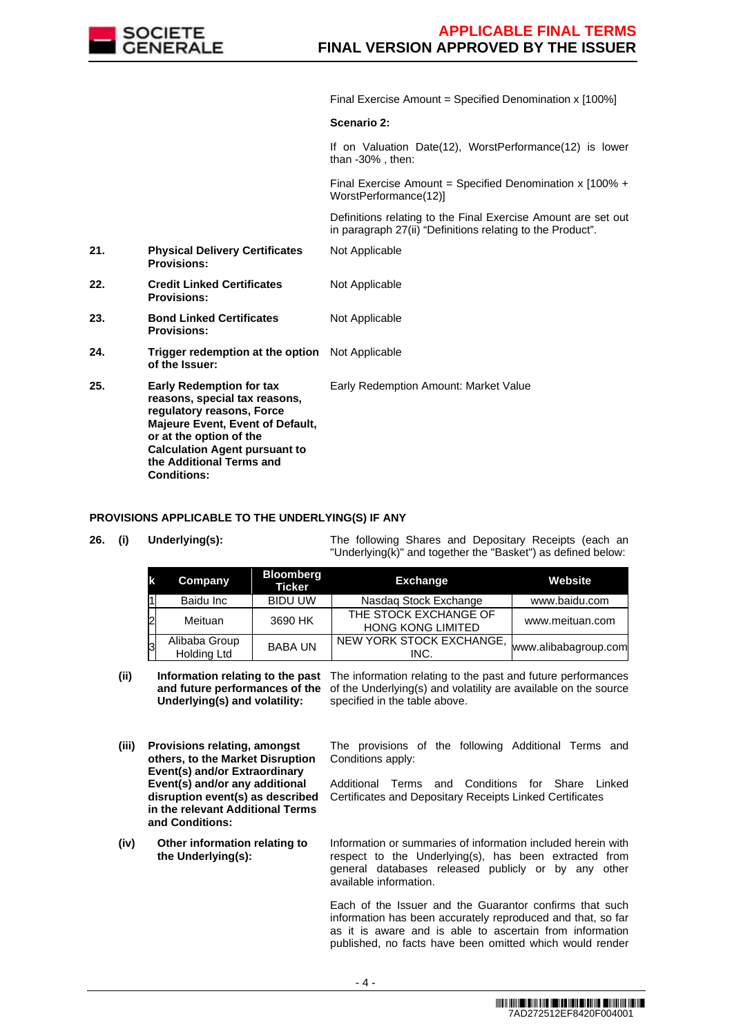

Final Exercise Amount = Specified Denomination x [100%]

# **Scenario 2:**

Not Applicable

Not Applicable

If on Valuation Date(12), WorstPerformance(12) is lower than -30% , then:

Final Exercise Amount = Specified Denomination x  $100\% +$ WorstPerformance(12)]

 Definitions relating to the Final Exercise Amount are set out in paragraph 27(ii) "Definitions relating to the Product".

Early Redemption Amount: Market Value

- **21. Physical Delivery Certificates Provisions:**
- **22. Credit Linked Certificates Provisions:**
- **23. Bond Linked Certificates Provisions:** Not Applicable
- **24. Trigger redemption at the option of the Issuer:** Not Applicable
- **25. Early Redemption for tax reasons, special tax reasons, regulatory reasons, Force Majeure Event, Event of Default, or at the option of the Calculation Agent pursuant to the Additional Terms and Conditions:**

# **PROVISIONS APPLICABLE TO THE UNDERLYING(S) IF ANY**

**26. (i) Underlying(s):** The following Shares and Depositary Receipts (each an "Underlying(k)" and together the "Basket") as defined below:

| k              | Company                             | <b>Bloomberg</b><br><b>Ticker</b> | <b>Exchange</b>                                   | Website              |
|----------------|-------------------------------------|-----------------------------------|---------------------------------------------------|----------------------|
|                | Baidu Inc                           | <b>BIDU UW</b>                    | Nasdag Stock Exchange                             | www.baidu.com        |
| $\overline{c}$ | Meituan                             | 3690 HK                           | THE STOCK EXCHANGE OF<br><b>HONG KONG LIMITED</b> | www.meituan.com      |
|                | Alibaba Group<br><b>Holding Ltd</b> | <b>BABA UN</b>                    | NEW YORK STOCK EXCHANGE,<br>INC.                  | www.alibabagroup.com |

(ii) **Information relating to the past** The information relating to the past and future performances and future performances of the of the Underlying(s) and volatility are available on the source **Underlying(s) and volatility:** specified in the table above.

- **(iii) Provisions relating, amongst others, to the Market Disruption Event(s) and/or Extraordinary Event(s) and/or any additional disruption event(s) as described in the relevant Additional Terms and Conditions:**
- **(iv) Other information relating to the Underlying(s):**

The provisions of the following Additional Terms and Conditions apply:

Additional Terms and Conditions for Share Linked Certificates and Depositary Receipts Linked Certificates

Information or summaries of information included herein with respect to the Underlying(s), has been extracted from general databases released publicly or by any other available information.

Each of the Issuer and the Guarantor confirms that such information has been accurately reproduced and that, so far as it is aware and is able to ascertain from information published, no facts have been omitted which would render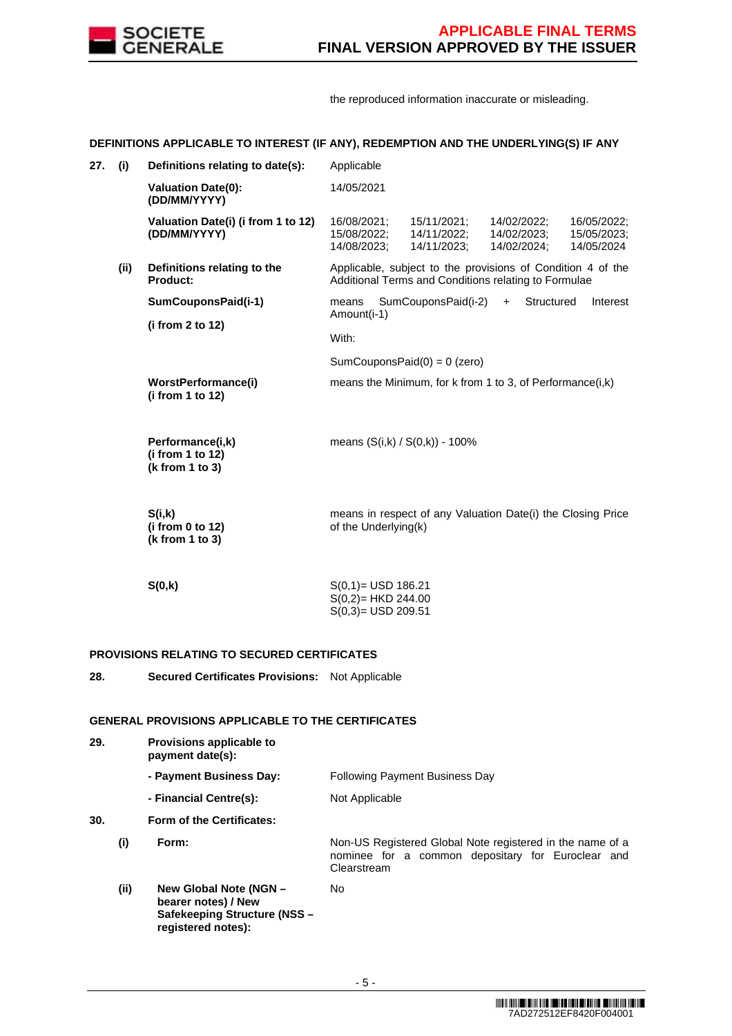

the reproduced information inaccurate or misleading.

# **DEFINITIONS APPLICABLE TO INTEREST (IF ANY), REDEMPTION AND THE UNDERLYING(S) IF ANY**

| 27. | (i)  | Definitions relating to date(s):                        | Applicable                                                                                                                                                                      |
|-----|------|---------------------------------------------------------|---------------------------------------------------------------------------------------------------------------------------------------------------------------------------------|
|     |      | <b>Valuation Date(0):</b><br>(DD/MM/YYYY)               | 14/05/2021                                                                                                                                                                      |
|     |      | Valuation Date(i) (i from 1 to 12)<br>(DD/MM/YYYY)      | 16/08/2021;<br>15/11/2021;<br>14/02/2022;<br>16/05/2022;<br>15/08/2022;<br>14/11/2022;<br>14/02/2023;<br>15/05/2023;<br>14/05/2024<br>14/08/2023;<br>14/11/2023;<br>14/02/2024; |
|     | (ii) | Definitions relating to the<br>Product:                 | Applicable, subject to the provisions of Condition 4 of the<br>Additional Terms and Conditions relating to Formulae                                                             |
|     |      | SumCouponsPaid(i-1)                                     | SumCouponsPaid(i-2)<br>Structured<br>means<br>Interest<br>$+$<br>Amount(i-1)                                                                                                    |
|     |      | (i from 2 to 12)                                        | With:                                                                                                                                                                           |
|     |      |                                                         | SumCouponsPaid $(0) = 0$ (zero)                                                                                                                                                 |
|     |      | WorstPerformance(i)<br>(i from 1 to 12)                 | means the Minimum, for k from 1 to 3, of Performance(i,k)                                                                                                                       |
|     |      | Performance(i,k)<br>(i from 1 to 12)<br>(k from 1 to 3) | means (S(i,k) / S(0,k)) - 100%                                                                                                                                                  |
|     |      | S(i,k)<br>(i from 0 to 12)<br>(k from 1 to 3)           | means in respect of any Valuation Date(i) the Closing Price<br>of the Underlying(k)                                                                                             |
|     |      | S(0,k)                                                  | $S(0,1) =$ USD 186.21<br>$S(0,2)=HKD 244.00$                                                                                                                                    |

S(0,3)= USD 209.51

# **PROVISIONS RELATING TO SECURED CERTIFICATES**

**28. Secured Certificates Provisions:** Not Applicable

# **GENERAL PROVISIONS APPLICABLE TO THE CERTIFICATES**

| 29. |      | Provisions applicable to<br>payment date(s):                                                        |                                                                                                                               |
|-----|------|-----------------------------------------------------------------------------------------------------|-------------------------------------------------------------------------------------------------------------------------------|
|     |      | - Payment Business Day:                                                                             | <b>Following Payment Business Day</b>                                                                                         |
|     |      | - Financial Centre(s):                                                                              | Not Applicable                                                                                                                |
| 30. |      | Form of the Certificates:                                                                           |                                                                                                                               |
|     | (i)  | Form:                                                                                               | Non-US Registered Global Note registered in the name of a<br>nominee for a common depositary for Euroclear and<br>Clearstream |
|     | (ii) | New Global Note (NGN -<br>bearer notes) / New<br>Safekeeping Structure (NSS -<br>registered notes): | No.                                                                                                                           |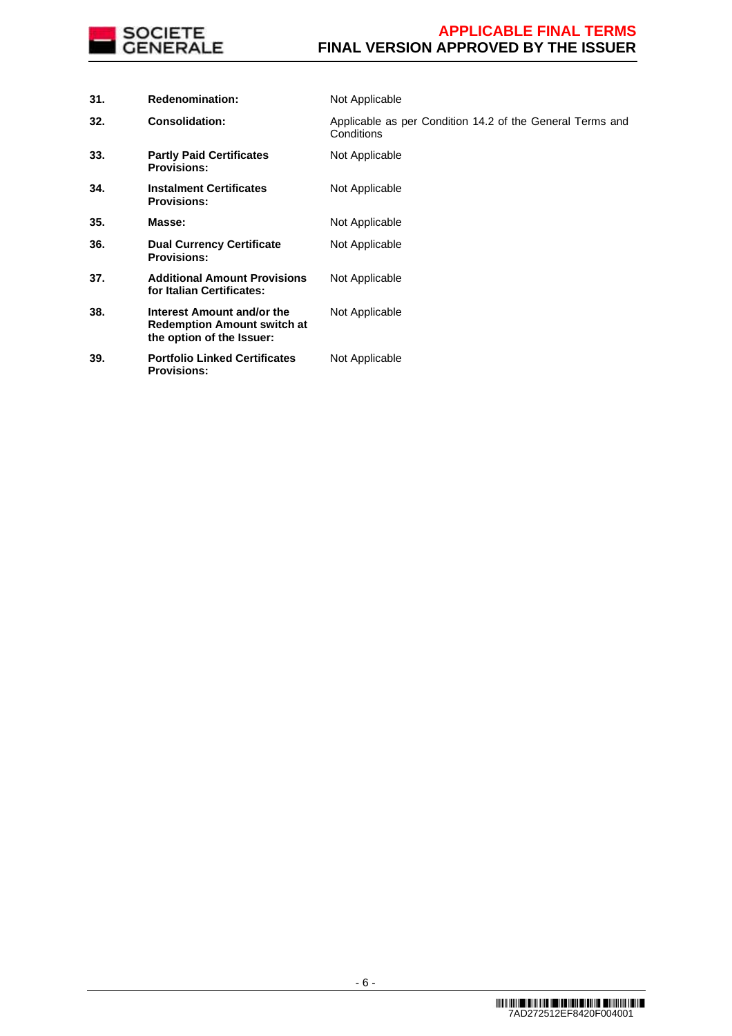

| 31. | <b>Redenomination:</b>                                                                        | Not Applicable                                                          |
|-----|-----------------------------------------------------------------------------------------------|-------------------------------------------------------------------------|
| 32. | <b>Consolidation:</b>                                                                         | Applicable as per Condition 14.2 of the General Terms and<br>Conditions |
| 33. | <b>Partly Paid Certificates</b><br><b>Provisions:</b>                                         | Not Applicable                                                          |
| 34. | <b>Instalment Certificates</b><br><b>Provisions:</b>                                          | Not Applicable                                                          |
| 35. | Masse:                                                                                        | Not Applicable                                                          |
| 36. | <b>Dual Currency Certificate</b><br><b>Provisions:</b>                                        | Not Applicable                                                          |
| 37. | <b>Additional Amount Provisions</b><br>for Italian Certificates:                              | Not Applicable                                                          |
| 38. | Interest Amount and/or the<br><b>Redemption Amount switch at</b><br>the option of the Issuer: | Not Applicable                                                          |
| 39. | <b>Portfolio Linked Certificates</b><br><b>Provisions:</b>                                    | Not Applicable                                                          |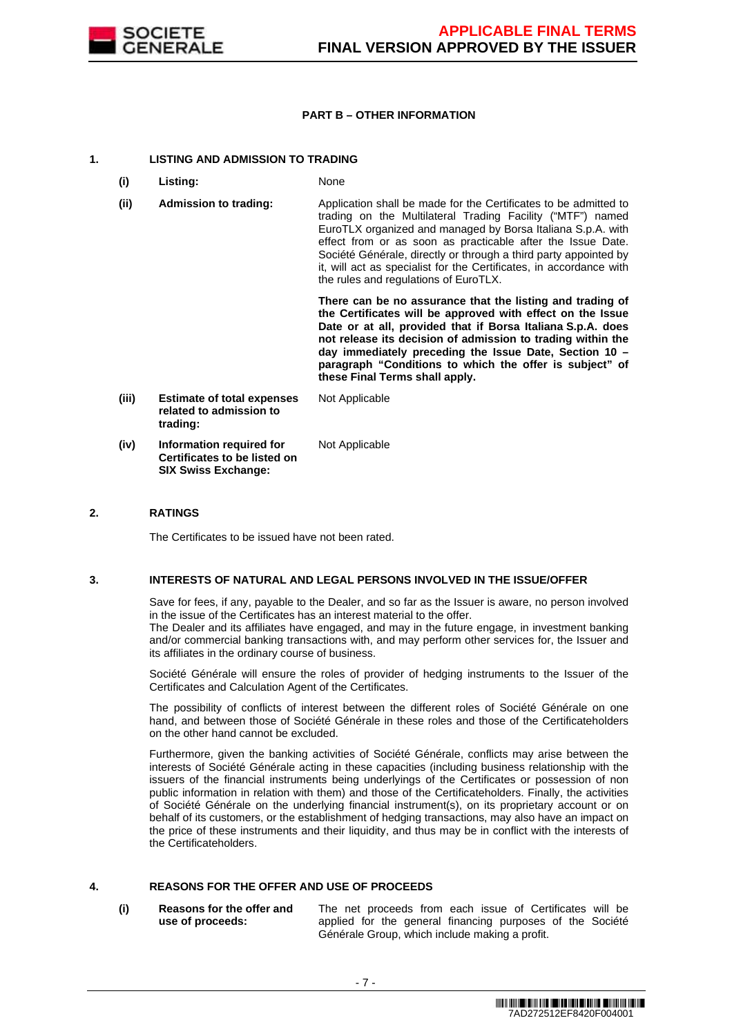

# **PART B – OTHER INFORMATION**

# **1. LISTING AND ADMISSION TO TRADING**

- **(i) Listing:** None
- **(ii) Admission to trading:** Application shall be made for the Certificates to be admitted to trading on the Multilateral Trading Facility ("MTF") named EuroTLX organized and managed by Borsa Italiana S.p.A. with effect from or as soon as practicable after the Issue Date. Société Générale, directly or through a third party appointed by it, will act as specialist for the Certificates, in accordance with the rules and regulations of EuroTLX.

 **There can be no assurance that the listing and trading of the Certificates will be approved with effect on the Issue Date or at all, provided that if Borsa Italiana S.p.A. does not release its decision of admission to trading within the day immediately preceding the Issue Date, Section 10 – paragraph "Conditions to which the offer is subject" of these Final Terms shall apply.**

**(iii) Estimate of total expenses related to admission to trading:** Not Applicable **(iv) Information required for Certificates to be listed on SIX Swiss Exchange:** Not Applicable

# **2. RATINGS**

The Certificates to be issued have not been rated.

## **3. INTERESTS OF NATURAL AND LEGAL PERSONS INVOLVED IN THE ISSUE/OFFER**

 Save for fees, if any, payable to the Dealer, and so far as the Issuer is aware, no person involved in the issue of the Certificates has an interest material to the offer.

The Dealer and its affiliates have engaged, and may in the future engage, in investment banking and/or commercial banking transactions with, and may perform other services for, the Issuer and its affiliates in the ordinary course of business.

 Société Générale will ensure the roles of provider of hedging instruments to the Issuer of the Certificates and Calculation Agent of the Certificates.

 The possibility of conflicts of interest between the different roles of Société Générale on one hand, and between those of Société Générale in these roles and those of the Certificateholders on the other hand cannot be excluded.

 Furthermore, given the banking activities of Société Générale, conflicts may arise between the interests of Société Générale acting in these capacities (including business relationship with the issuers of the financial instruments being underlyings of the Certificates or possession of non public information in relation with them) and those of the Certificateholders. Finally, the activities of Société Générale on the underlying financial instrument(s), on its proprietary account or on behalf of its customers, or the establishment of hedging transactions, may also have an impact on the price of these instruments and their liquidity, and thus may be in conflict with the interests of the Certificateholders.

# **4. REASONS FOR THE OFFER AND USE OF PROCEEDS**

**(i) Reasons for the offer and use of proceeds:**

The net proceeds from each issue of Certificates will be applied for the general financing purposes of the Société Générale Group, which include making a profit.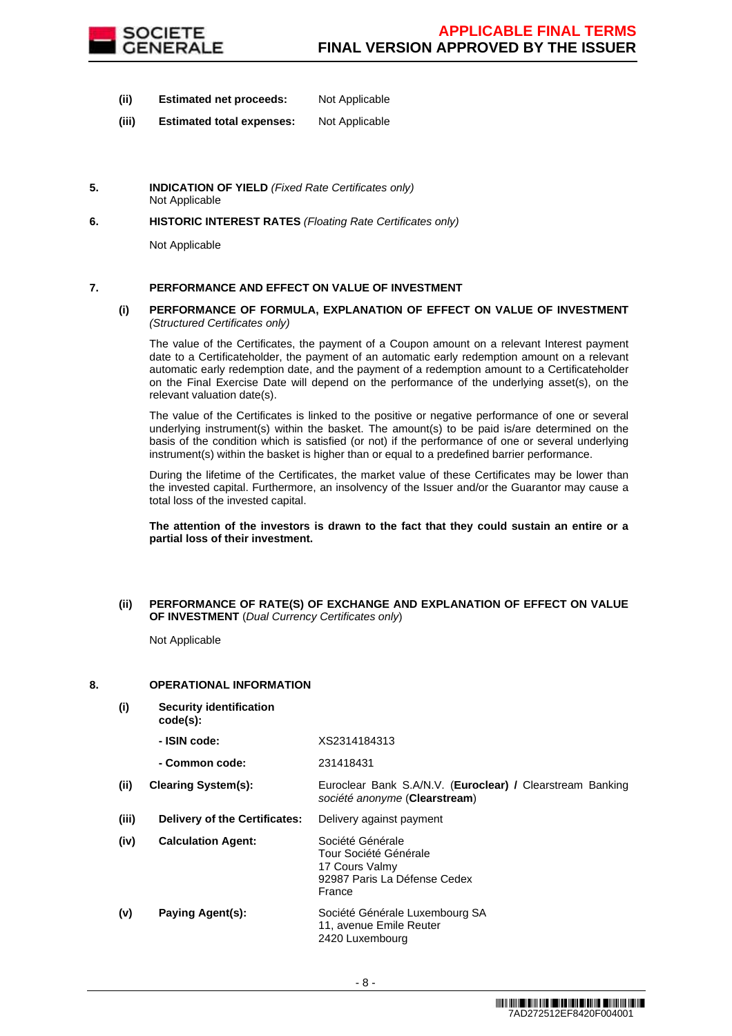

- **(ii) Estimated net proceeds:** Not Applicable
- **(iii) Estimated total expenses:** Not Applicable
- **5. INDICATION OF YIELD** (Fixed Rate Certificates only) Not Applicable
- **6. HISTORIC INTEREST RATES** (Floating Rate Certificates only)

Not Applicable

# **7. PERFORMANCE AND EFFECT ON VALUE OF INVESTMENT**

# **(i) PERFORMANCE OF FORMULA, EXPLANATION OF EFFECT ON VALUE OF INVESTMENT**  (Structured Certificates only)

 The value of the Certificates, the payment of a Coupon amount on a relevant Interest payment date to a Certificateholder, the payment of an automatic early redemption amount on a relevant automatic early redemption date, and the payment of a redemption amount to a Certificateholder on the Final Exercise Date will depend on the performance of the underlying asset(s), on the relevant valuation date(s).

 The value of the Certificates is linked to the positive or negative performance of one or several underlying instrument(s) within the basket. The amount(s) to be paid is/are determined on the basis of the condition which is satisfied (or not) if the performance of one or several underlying instrument(s) within the basket is higher than or equal to a predefined barrier performance.

 During the lifetime of the Certificates, the market value of these Certificates may be lower than the invested capital. Furthermore, an insolvency of the Issuer and/or the Guarantor may cause a total loss of the invested capital.

**The attention of the investors is drawn to the fact that they could sustain an entire or a partial loss of their investment.**

## **(ii) PERFORMANCE OF RATE(S) OF EXCHANGE AND EXPLANATION OF EFFECT ON VALUE OF INVESTMENT** (Dual Currency Certificates only)

Not Applicable

# **8. OPERATIONAL INFORMATION**

**(i) Security identification code(s): - ISIN code:** XS2314184313 **- Common code:** 231418431 **(ii) Clearing System(s):** Euroclear Bank S.A/N.V. (**Euroclear) /** Clearstream Banking société anonyme (**Clearstream**) **(iii) Delivery of the Certificates:** Delivery against payment **(iv) Calculation Agent:** Société Générale Tour Société Générale 17 Cours Valmy 92987 Paris La Défense Cedex France **(v) Paying Agent(s):** Société Générale Luxembourg SA 11, avenue Emile Reuter 2420 Luxembourg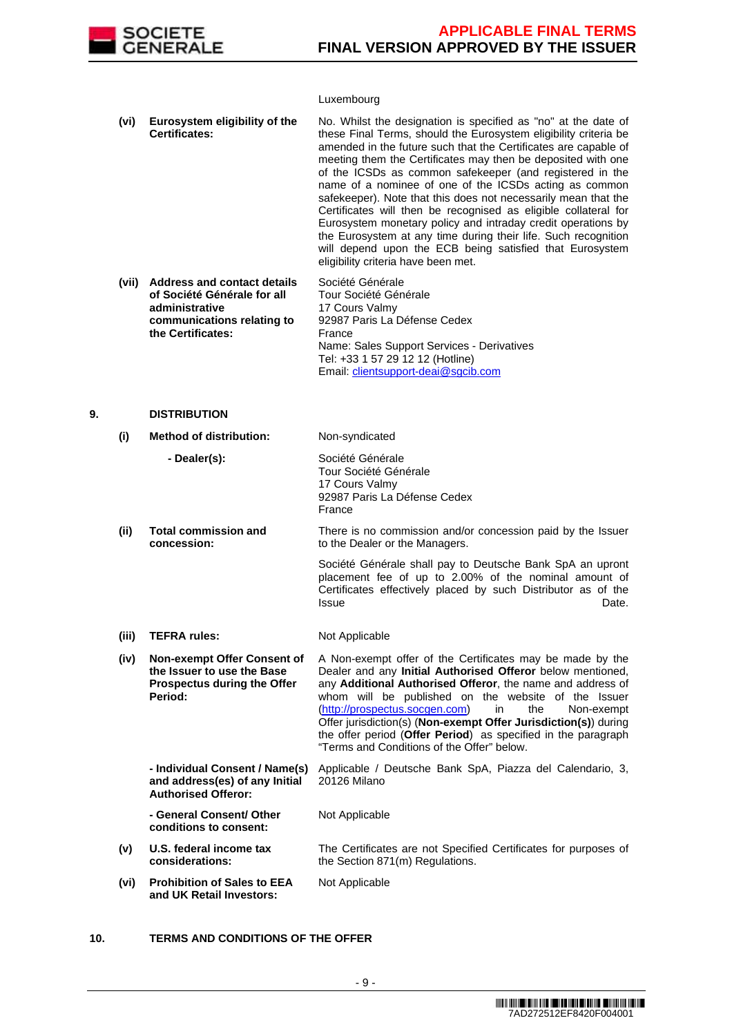

# Luxembourg

|    | (vi)       | Eurosystem eligibility of the<br><b>Certificates:</b>                                                                                  | No. Whilst the designation is specified as "no" at the date of<br>these Final Terms, should the Eurosystem eligibility criteria be<br>amended in the future such that the Certificates are capable of<br>meeting them the Certificates may then be deposited with one<br>of the ICSDs as common safekeeper (and registered in the<br>name of a nominee of one of the ICSDs acting as common<br>safekeeper). Note that this does not necessarily mean that the<br>Certificates will then be recognised as eligible collateral for<br>Eurosystem monetary policy and intraday credit operations by<br>the Eurosystem at any time during their life. Such recognition<br>will depend upon the ECB being satisfied that Eurosystem<br>eligibility criteria have been met. |
|----|------------|----------------------------------------------------------------------------------------------------------------------------------------|-----------------------------------------------------------------------------------------------------------------------------------------------------------------------------------------------------------------------------------------------------------------------------------------------------------------------------------------------------------------------------------------------------------------------------------------------------------------------------------------------------------------------------------------------------------------------------------------------------------------------------------------------------------------------------------------------------------------------------------------------------------------------|
|    | (vii)      | <b>Address and contact details</b><br>of Société Générale for all<br>administrative<br>communications relating to<br>the Certificates: | Société Générale<br>Tour Société Générale<br>17 Cours Valmy<br>92987 Paris La Défense Cedex<br>France<br>Name: Sales Support Services - Derivatives<br>Tel: +33 1 57 29 12 12 (Hotline)<br>Email: clientsupport-deai@sgcib.com                                                                                                                                                                                                                                                                                                                                                                                                                                                                                                                                        |
| 9. |            | <b>DISTRIBUTION</b>                                                                                                                    |                                                                                                                                                                                                                                                                                                                                                                                                                                                                                                                                                                                                                                                                                                                                                                       |
|    | (i)        | <b>Method of distribution:</b>                                                                                                         | Non-syndicated                                                                                                                                                                                                                                                                                                                                                                                                                                                                                                                                                                                                                                                                                                                                                        |
|    |            | - Dealer(s):                                                                                                                           | Société Générale<br>Tour Société Générale<br>17 Cours Valmy<br>92987 Paris La Défense Cedex<br>France                                                                                                                                                                                                                                                                                                                                                                                                                                                                                                                                                                                                                                                                 |
|    | $\sqrt{2}$ | Tatal aanamalaalan ar                                                                                                                  | There is no commission and/an expected note by the leave                                                                                                                                                                                                                                                                                                                                                                                                                                                                                                                                                                                                                                                                                                              |

#### **(ii) Total commission and concession:** There is no commission and/or concession paid by the Issuer to the Dealer or the Managers.

 Société Générale shall pay to Deutsche Bank SpA an upront placement fee of up to 2.00% of the nominal amount of Certificates effectively placed by such Distributor as of the Issue **Date.** 

The Certificates are not Specified Certificates for purposes of

- **(iii) TEFRA rules:** Not Applicable
- **(iv) Non-exempt Offer Consent of the Issuer to use the Base Prospectus during the Offer Period:** A Non-exempt offer of the Certificates may be made by the Dealer and any **Initial Authorised Offeror** below mentioned, any **Additional Authorised Offeror**, the name and address of whom will be published on the website of the Issuer (http://prospectus.socgen.com) in the Non-exempt Offer jurisdiction(s) (**Non-exempt Offer Jurisdiction(s)**) during the offer period (**Offer Period**) as specified in the paragraph "Terms and Conditions of the Offer" below. **- Individual Consent / Name(s)**  Applicable / Deutsche Bank SpA, Piazza del Calendario, 3,

**and address(es) of any Initial Authorised Offeror:** 20126 Milano

the Section 871(m) Regulations.

Not Applicable

 **- General Consent/ Other conditions to consent:**

- **(v) U.S. federal income tax considerations:**
- **(vi) Prohibition of Sales to EEA and UK Retail Investors:** Not Applicable
- **10. TERMS AND CONDITIONS OF THE OFFER**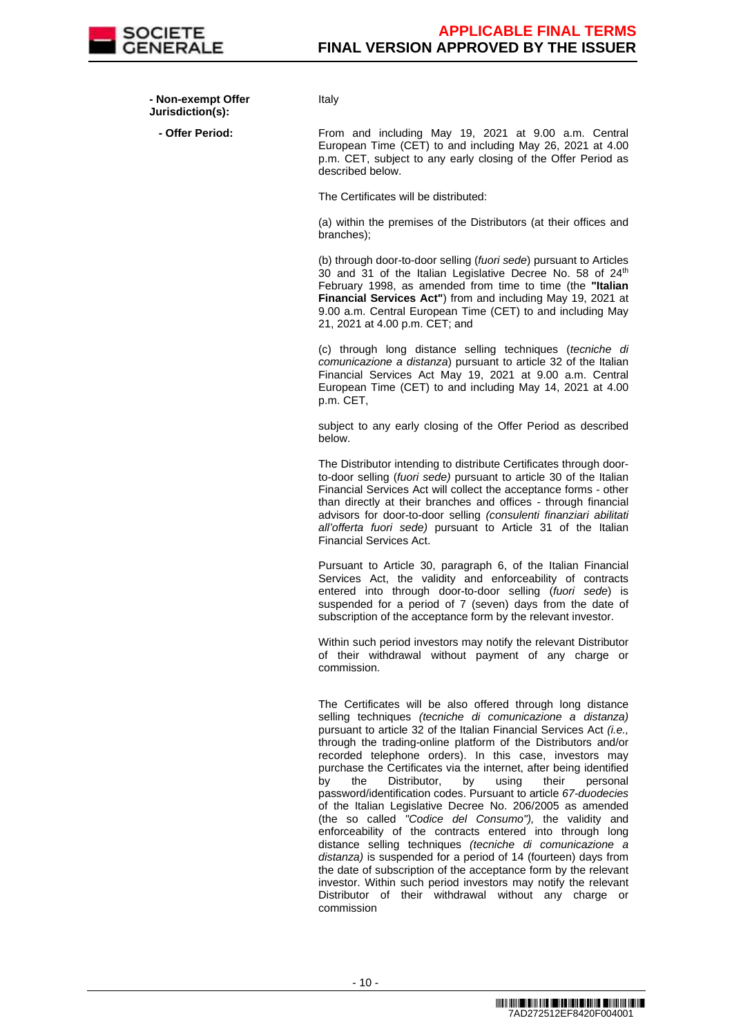

 **- Non-exempt Offer Jurisdiction(s):**

Italy

- Offer Period: From and including May 19, 2021 at 9.00 a.m. Central European Time (CET) to and including May 26, 2021 at 4.00 p.m. CET, subject to any early closing of the Offer Period as described below.

The Certificates will be distributed:

(a) within the premises of the Distributors (at their offices and branches);

(b) through door-to-door selling (fuori sede) pursuant to Articles 30 and 31 of the Italian Legislative Decree No. 58 of 24<sup>th</sup> February 1998, as amended from time to time (the **"Italian Financial Services Act"**) from and including May 19, 2021 at 9.00 a.m. Central European Time (CET) to and including May 21, 2021 at 4.00 p.m. CET; and

(c) through long distance selling techniques (tecniche di comunicazione a distanza) pursuant to article 32 of the Italian Financial Services Act May 19, 2021 at 9.00 a.m. Central European Time (CET) to and including May 14, 2021 at 4.00 p.m. CET,

subject to any early closing of the Offer Period as described below.

The Distributor intending to distribute Certificates through doorto-door selling (fuori sede) pursuant to article 30 of the Italian Financial Services Act will collect the acceptance forms - other than directly at their branches and offices - through financial advisors for door-to-door selling (consulenti finanziari abilitati all'offerta fuori sede) pursuant to Article 31 of the Italian Financial Services Act.

Pursuant to Article 30, paragraph 6, of the Italian Financial Services Act, the validity and enforceability of contracts entered into through door-to-door selling (fuori sede) is suspended for a period of 7 (seven) days from the date of subscription of the acceptance form by the relevant investor.

Within such period investors may notify the relevant Distributor of their withdrawal without payment of any charge or commission.

The Certificates will be also offered through long distance selling techniques (tecniche di comunicazione a distanza) pursuant to article 32 of the Italian Financial Services Act *(i.e.,* through the trading-online platform of the Distributors and/or recorded telephone orders). In this case, investors may purchase the Certificates via the internet, after being identified<br>by the Distributor, by using their personal by the Distributor, by using their personal password/identification codes. Pursuant to article 67-duodecies of the Italian Legislative Decree No. 206/2005 as amended (the so called "Codice del Consumo"), the validity and enforceability of the contracts entered into through long distance selling techniques (tecniche di comunicazione a distanza) is suspended for a period of 14 (fourteen) days from the date of subscription of the acceptance form by the relevant investor. Within such period investors may notify the relevant Distributor of their withdrawal without any charge or commission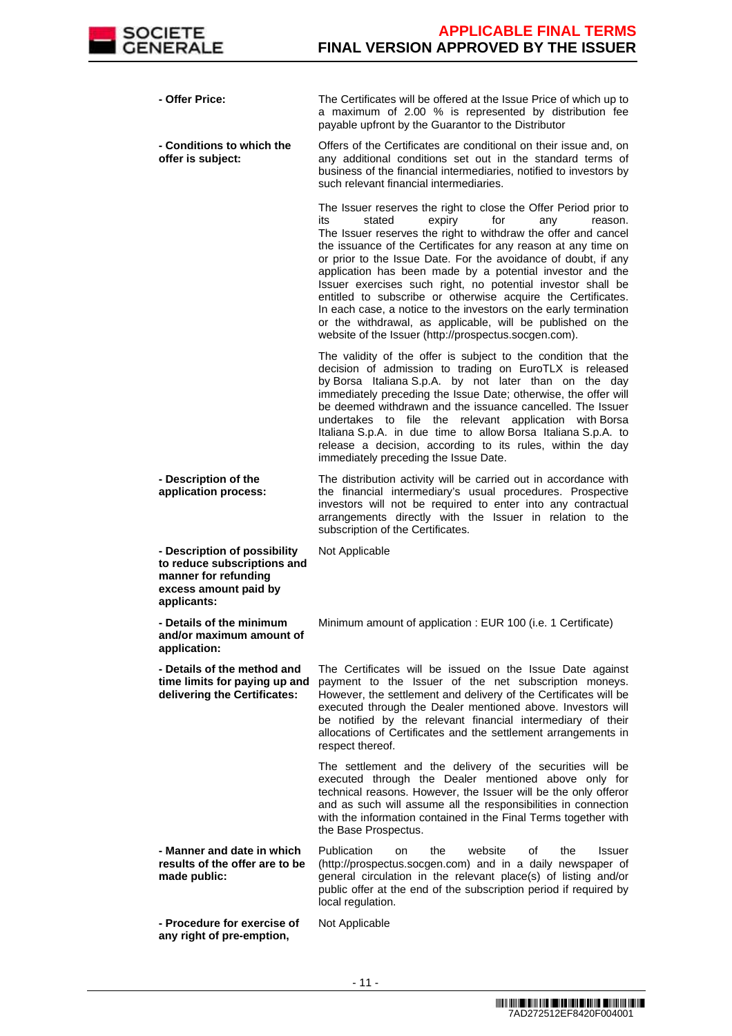

| - Offer Price:    |                                                                                                              | The Certificates will be offered at the Issue Price of which up to<br>a maximum of 2.00 % is represented by distribution fee<br>payable upfront by the Guarantor to the Distributor                                                                                                                                                                                                                                                                                                                                                                                                                                                                                                                               |
|-------------------|--------------------------------------------------------------------------------------------------------------|-------------------------------------------------------------------------------------------------------------------------------------------------------------------------------------------------------------------------------------------------------------------------------------------------------------------------------------------------------------------------------------------------------------------------------------------------------------------------------------------------------------------------------------------------------------------------------------------------------------------------------------------------------------------------------------------------------------------|
| offer is subject: | - Conditions to which the                                                                                    | Offers of the Certificates are conditional on their issue and, on<br>any additional conditions set out in the standard terms of<br>business of the financial intermediaries, notified to investors by<br>such relevant financial intermediaries.                                                                                                                                                                                                                                                                                                                                                                                                                                                                  |
|                   |                                                                                                              | The Issuer reserves the right to close the Offer Period prior to<br>stated<br>expiry<br>for<br>its<br>any<br>reason.<br>The Issuer reserves the right to withdraw the offer and cancel<br>the issuance of the Certificates for any reason at any time on<br>or prior to the Issue Date. For the avoidance of doubt, if any<br>application has been made by a potential investor and the<br>Issuer exercises such right, no potential investor shall be<br>entitled to subscribe or otherwise acquire the Certificates.<br>In each case, a notice to the investors on the early termination<br>or the withdrawal, as applicable, will be published on the<br>website of the Issuer (http://prospectus.socgen.com). |
|                   |                                                                                                              | The validity of the offer is subject to the condition that the<br>decision of admission to trading on EuroTLX is released<br>by Borsa Italiana S.p.A. by not later than on the day<br>immediately preceding the Issue Date; otherwise, the offer will<br>be deemed withdrawn and the issuance cancelled. The Issuer<br>undertakes to file the relevant application with Borsa<br>Italiana S.p.A. in due time to allow Borsa Italiana S.p.A. to<br>release a decision, according to its rules, within the day<br>immediately preceding the Issue Date.                                                                                                                                                             |
|                   | - Description of the<br>application process:                                                                 | The distribution activity will be carried out in accordance with<br>the financial intermediary's usual procedures. Prospective<br>investors will not be required to enter into any contractual<br>arrangements directly with the Issuer in relation to the<br>subscription of the Certificates.                                                                                                                                                                                                                                                                                                                                                                                                                   |
| applicants:       | - Description of possibility<br>to reduce subscriptions and<br>manner for refunding<br>excess amount paid by | Not Applicable                                                                                                                                                                                                                                                                                                                                                                                                                                                                                                                                                                                                                                                                                                    |
| application:      | - Details of the minimum<br>and/or maximum amount of                                                         | Minimum amount of application : EUR 100 (i.e. 1 Certificate)                                                                                                                                                                                                                                                                                                                                                                                                                                                                                                                                                                                                                                                      |
|                   | - Details of the method and<br>time limits for paying up and<br>delivering the Certificates:                 | The Certificates will be issued on the Issue Date against<br>payment to the Issuer of the net subscription moneys.<br>However, the settlement and delivery of the Certificates will be<br>executed through the Dealer mentioned above. Investors will<br>be notified by the relevant financial intermediary of their<br>allocations of Certificates and the settlement arrangements in<br>respect thereof.                                                                                                                                                                                                                                                                                                        |
|                   |                                                                                                              | The settlement and the delivery of the securities will be<br>executed through the Dealer mentioned above only for<br>technical reasons. However, the Issuer will be the only offeror<br>and as such will assume all the responsibilities in connection<br>with the information contained in the Final Terms together with<br>the Base Prospectus.                                                                                                                                                                                                                                                                                                                                                                 |
| made public:      | - Manner and date in which<br>results of the offer are to be                                                 | Publication<br>the<br>website<br>the<br><b>Issuer</b><br>οf<br>on<br>(http://prospectus.socgen.com) and in a daily newspaper of<br>general circulation in the relevant place(s) of listing and/or<br>public offer at the end of the subscription period if required by<br>local regulation.                                                                                                                                                                                                                                                                                                                                                                                                                       |
|                   | - Procedure for exercise of<br>any right of pre-emption,                                                     | Not Applicable                                                                                                                                                                                                                                                                                                                                                                                                                                                                                                                                                                                                                                                                                                    |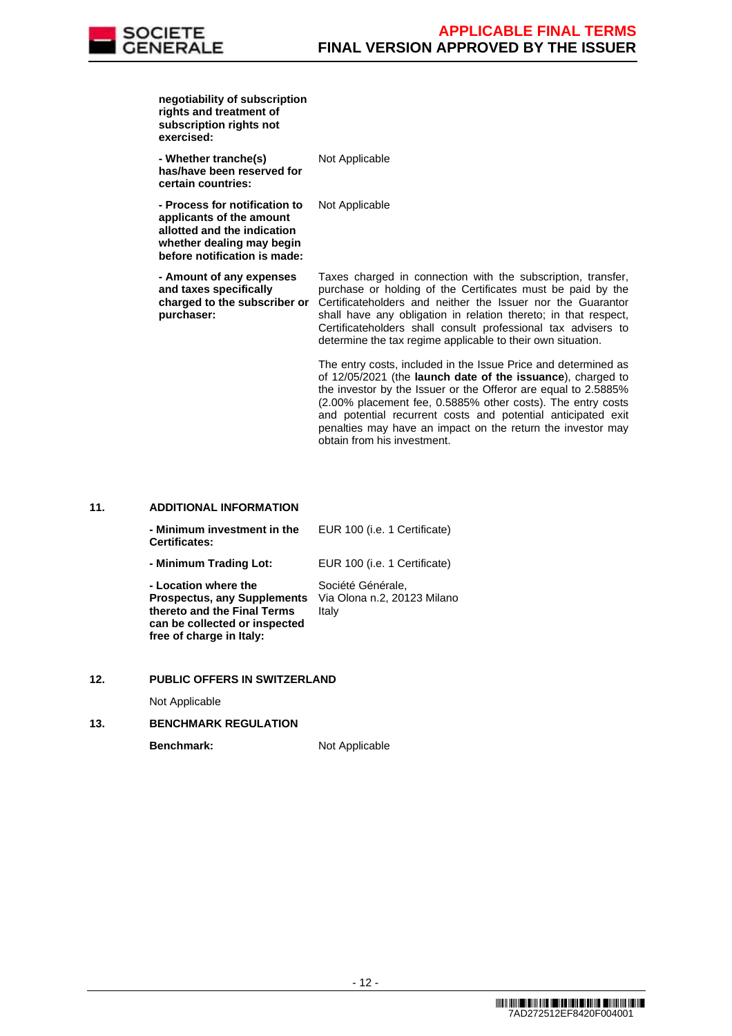

| exercised: | negotiability of subscription<br>rights and treatment of<br>subscription rights not                                                                   |                                                                                                                                                                                                                                                                                                                                                                                               |
|------------|-------------------------------------------------------------------------------------------------------------------------------------------------------|-----------------------------------------------------------------------------------------------------------------------------------------------------------------------------------------------------------------------------------------------------------------------------------------------------------------------------------------------------------------------------------------------|
|            | - Whether tranche(s)<br>has/have been reserved for<br>certain countries:                                                                              | Not Applicable                                                                                                                                                                                                                                                                                                                                                                                |
|            | - Process for notification to<br>applicants of the amount<br>allotted and the indication<br>whether dealing may begin<br>before notification is made: | Not Applicable                                                                                                                                                                                                                                                                                                                                                                                |
| purchaser: | - Amount of any expenses<br>and taxes specifically<br>charged to the subscriber or                                                                    | Taxes charged in connection with the subscription, transfer,<br>purchase or holding of the Certificates must be paid by the<br>Certificateholders and neither the Issuer nor the Guarantor<br>shall have any obligation in relation thereto; in that respect,<br>Certificateholders shall consult professional tax advisers to<br>determine the tax regime applicable to their own situation. |
|            |                                                                                                                                                       | The entry costs, included in the Issue Price and determined as<br>of 12/05/2021 (the launch date of the issuance), charged to<br>the investor by the lesuer or the Offerer are equal to 2.58850/                                                                                                                                                                                              |

of 12/05/2021 (the **launch date of the issuance**), charged to the investor by the Issuer or the Offeror are equal to 2.5885% (2.00% placement fee, 0.5885% other costs). The entry costs and potential recurrent costs and potential anticipated exit penalties may have an impact on the return the investor may obtain from his investment.

# **11. ADDITIONAL INFORMATION**

| - Minimum investment in the<br><b>Certificates:</b>                                                                                                    | EUR 100 (i.e. 1 Certificate)                              |
|--------------------------------------------------------------------------------------------------------------------------------------------------------|-----------------------------------------------------------|
| - Minimum Trading Lot:                                                                                                                                 | EUR 100 (i.e. 1 Certificate)                              |
| - Location where the<br><b>Prospectus, any Supplements</b><br>thereto and the Final Terms<br>can be collected or inspected<br>free of charge in Italy: | Société Générale,<br>Via Olona n.2, 20123 Milano<br>Italy |

# **12. PUBLIC OFFERS IN SWITZERLAND**

Not Applicable

# **13. BENCHMARK REGULATION**

**Benchmark:** Not Applicable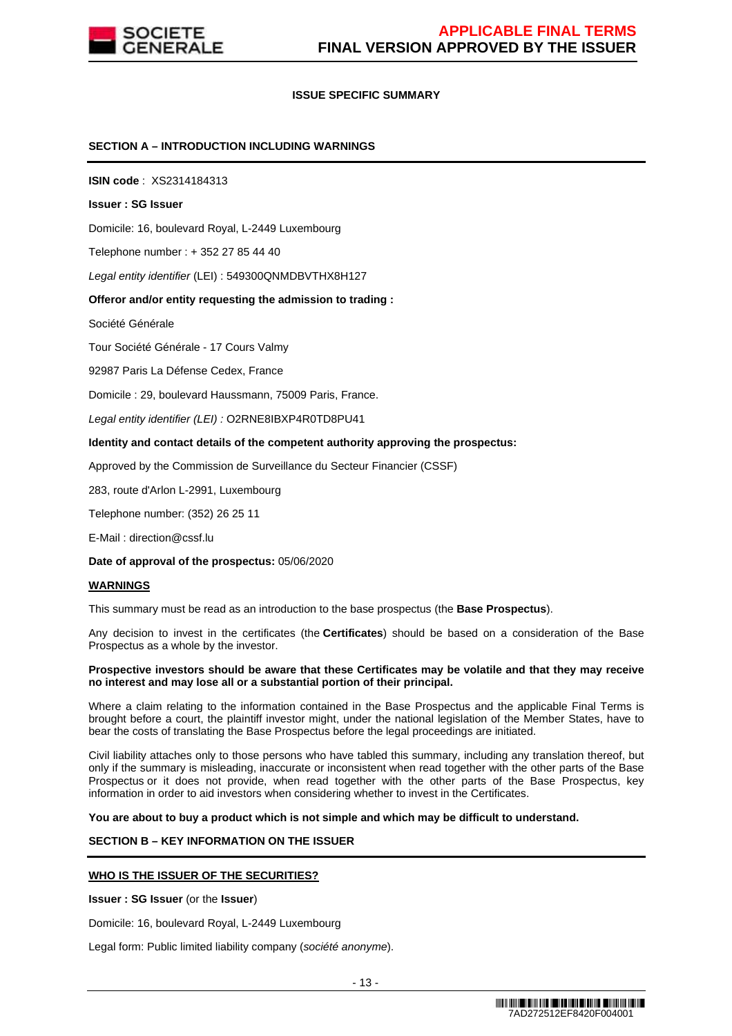

# **ISSUE SPECIFIC SUMMARY**

# **SECTION A – INTRODUCTION INCLUDING WARNINGS**

**ISIN code** : XS2314184313

#### **Issuer : SG Issuer**

Domicile: 16, boulevard Royal, L-2449 Luxembourg

Telephone number : + 352 27 85 44 40

Legal entity identifier (LEI) : 549300QNMDBVTHX8H127

## **Offeror and/or entity requesting the admission to trading :**

Société Générale

Tour Société Générale - 17 Cours Valmy

92987 Paris La Défense Cedex, France

Domicile : 29, boulevard Haussmann, 75009 Paris, France.

Legal entity identifier (LEI) : O2RNE8IBXP4R0TD8PU41

#### **Identity and contact details of the competent authority approving the prospectus:**

Approved by the Commission de Surveillance du Secteur Financier (CSSF)

283, route d'Arlon L-2991, Luxembourg

Telephone number: (352) 26 25 11

E-Mail : direction@cssf.lu

**Date of approval of the prospectus:** 05/06/2020

#### **WARNINGS**

This summary must be read as an introduction to the base prospectus (the **Base Prospectus**).

Any decision to invest in the certificates (the **Certificates**) should be based on a consideration of the Base Prospectus as a whole by the investor.

#### **Prospective investors should be aware that these Certificates may be volatile and that they may receive no interest and may lose all or a substantial portion of their principal.**

Where a claim relating to the information contained in the Base Prospectus and the applicable Final Terms is brought before a court, the plaintiff investor might, under the national legislation of the Member States, have to bear the costs of translating the Base Prospectus before the legal proceedings are initiated.

Civil liability attaches only to those persons who have tabled this summary, including any translation thereof, but only if the summary is misleading, inaccurate or inconsistent when read together with the other parts of the Base Prospectus or it does not provide, when read together with the other parts of the Base Prospectus, key information in order to aid investors when considering whether to invest in the Certificates.

**You are about to buy a product which is not simple and which may be difficult to understand.**

# **SECTION B – KEY INFORMATION ON THE ISSUER**

## **WHO IS THE ISSUER OF THE SECURITIES?**

**Issuer : SG Issuer** (or the **Issuer**)

Domicile: 16, boulevard Royal, L-2449 Luxembourg

Legal form: Public limited liability company (société anonyme).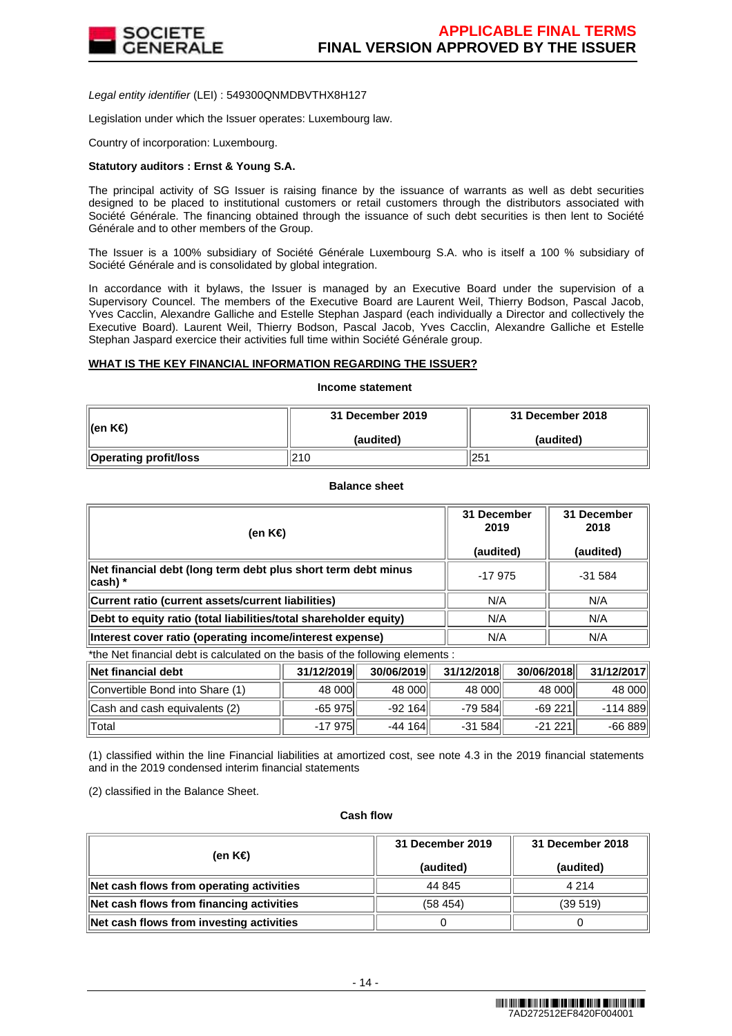

Legal entity identifier (LEI) : 549300QNMDBVTHX8H127

Legislation under which the Issuer operates: Luxembourg law.

Country of incorporation: Luxembourg.

## **Statutory auditors : Ernst & Young S.A.**

The principal activity of SG Issuer is raising finance by the issuance of warrants as well as debt securities designed to be placed to institutional customers or retail customers through the distributors associated with Société Générale. The financing obtained through the issuance of such debt securities is then lent to Société Générale and to other members of the Group.

The Issuer is a 100% subsidiary of Société Générale Luxembourg S.A. who is itself a 100 % subsidiary of Société Générale and is consolidated by global integration.

In accordance with it bylaws, the Issuer is managed by an Executive Board under the supervision of a Supervisory Councel. The members of the Executive Board are Laurent Weil, Thierry Bodson, Pascal Jacob, Yves Cacclin, Alexandre Galliche and Estelle Stephan Jaspard (each individually a Director and collectively the Executive Board). Laurent Weil, Thierry Bodson, Pascal Jacob, Yves Cacclin, Alexandre Galliche et Estelle Stephan Jaspard exercice their activities full time within Société Générale group.

## **WHAT IS THE KEY FINANCIAL INFORMATION REGARDING THE ISSUER?**

# **Income statement**

| ∥(en K€)              | 31 December 2019 | 31 December 2018 |
|-----------------------|------------------|------------------|
|                       | (audited)        | (audited)        |
| Operating profit/loss | 210              | 251              |

**Balance sheet**

| (en K€)                                                                     | 31 December<br>2019<br>(audited) | 31 December<br>2018<br>(audited) |
|-----------------------------------------------------------------------------|----------------------------------|----------------------------------|
| Net financial debt (long term debt plus short term debt minus<br>$ cash) *$ | $-17975$                         | $-31584$                         |
| Current ratio (current assets/current liabilities)                          | N/A                              | N/A                              |
| Debt to equity ratio (total liabilities/total shareholder equity)           | N/A                              | N/A                              |
| Interest cover ratio (operating income/interest expense)                    | N/A                              | N/A                              |

\*the Net financial debt is calculated on the basis of the following elements :

| ∥Net financial debt             | 31/12/2019 | 30/06/2019 | 31/12/2018 | 30/06/2018 | 31/12/2017 |
|---------------------------------|------------|------------|------------|------------|------------|
| Convertible Bond into Share (1) | 48 000     | 48 000     | 48 000     | 48 000     | 48 000     |
| Cash and cash equivalents (2)   | $-65975$   | $-92164$   | $-79584$   | $-69221$   | -114 889   |
| ⊺Total                          | $-17975$   | $-44164$   | $-31584$   | $-21221$   | $-66889$   |

(1) classified within the line Financial liabilities at amortized cost, see note 4.3 in the 2019 financial statements and in the 2019 condensed interim financial statements

(2) classified in the Balance Sheet.

#### **Cash flow**

| (en K€)                                  | 31 December 2019<br>(audited) | 31 December 2018<br>(audited) |
|------------------------------------------|-------------------------------|-------------------------------|
| Net cash flows from operating activities | 44 845                        | 4 2 1 4                       |
| Net cash flows from financing activities | (58454)                       | (39519)                       |
| Net cash flows from investing activities |                               |                               |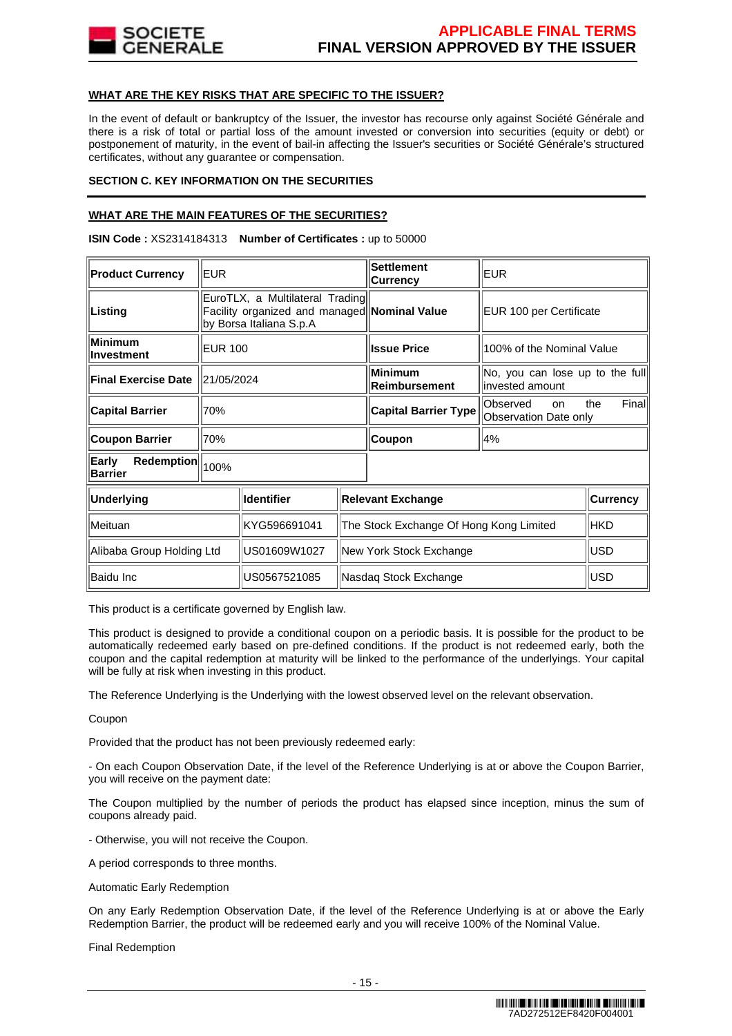

# **WHAT ARE THE KEY RISKS THAT ARE SPECIFIC TO THE ISSUER?**

In the event of default or bankruptcy of the Issuer, the investor has recourse only against Société Générale and there is a risk of total or partial loss of the amount invested or conversion into securities (equity or debt) or postponement of maturity, in the event of bail-in affecting the Issuer's securities or Société Générale's structured certificates, without any guarantee or compensation.

# **SECTION C. KEY INFORMATION ON THE SECURITIES**

# **WHAT ARE THE MAIN FEATURES OF THE SECURITIES?**

**ISIN Code :** XS2314184313 **Number of Certificates :** up to 50000

| <b>Product Currency</b>      | <b>EUR</b>                                                                                                 |              | <b>Settlement</b><br><b>Currency</b>    | <b>EUR</b>                                                          |                                                    |                 |
|------------------------------|------------------------------------------------------------------------------------------------------------|--------------|-----------------------------------------|---------------------------------------------------------------------|----------------------------------------------------|-----------------|
| Listing                      | EuroTLX, a Multilateral Trading<br>Facility organized and managed Nominal Value<br>by Borsa Italiana S.p.A |              |                                         | EUR 100 per Certificate                                             |                                                    |                 |
| Minimum<br><b>Investment</b> | <b>EUR 100</b>                                                                                             |              |                                         | <b>Issue Price</b>                                                  | 100% of the Nominal Value                          |                 |
| <b>Final Exercise Date</b>   | 21/05/2024                                                                                                 |              |                                         | <b>Minimum</b><br><b>Reimbursement</b>                              | No, you can lose up to the full<br>invested amount |                 |
| <b>Capital Barrier</b>       | 70%                                                                                                        |              | <b>Capital Barrier Type</b>             | Finall<br>Observed<br>the<br><sub>on</sub><br>Observation Date only |                                                    |                 |
| <b>Coupon Barrier</b>        | 70%                                                                                                        |              | Coupon                                  | 4%                                                                  |                                                    |                 |
| Early<br><b>Barrier</b>      | Redemption<br>100%                                                                                         |              |                                         |                                                                     |                                                    |                 |
| <b>Underlying</b>            | <b>Identifier</b>                                                                                          |              |                                         | <b>Relevant Exchange</b>                                            |                                                    | <b>Currency</b> |
| Meituan                      | KYG596691041                                                                                               |              | The Stock Exchange Of Hong Kong Limited |                                                                     | <b>HKD</b>                                         |                 |
|                              | Alibaba Group Holding Ltd<br>US01609W1027                                                                  |              | New York Stock Exchange                 |                                                                     | <b>USD</b>                                         |                 |
| Baidu Inc                    |                                                                                                            | US0567521085 |                                         | Nasdaq Stock Exchange                                               |                                                    | <b>USD</b>      |

This product is a certificate governed by English law.

This product is designed to provide a conditional coupon on a periodic basis. It is possible for the product to be automatically redeemed early based on pre-defined conditions. If the product is not redeemed early, both the coupon and the capital redemption at maturity will be linked to the performance of the underlyings. Your capital will be fully at risk when investing in this product.

The Reference Underlying is the Underlying with the lowest observed level on the relevant observation.

Coupon

Provided that the product has not been previously redeemed early:

- On each Coupon Observation Date, if the level of the Reference Underlying is at or above the Coupon Barrier, you will receive on the payment date:

The Coupon multiplied by the number of periods the product has elapsed since inception, minus the sum of coupons already paid.

- Otherwise, you will not receive the Coupon.

A period corresponds to three months.

Automatic Early Redemption

On any Early Redemption Observation Date, if the level of the Reference Underlying is at or above the Early Redemption Barrier, the product will be redeemed early and you will receive 100% of the Nominal Value.

Final Redemption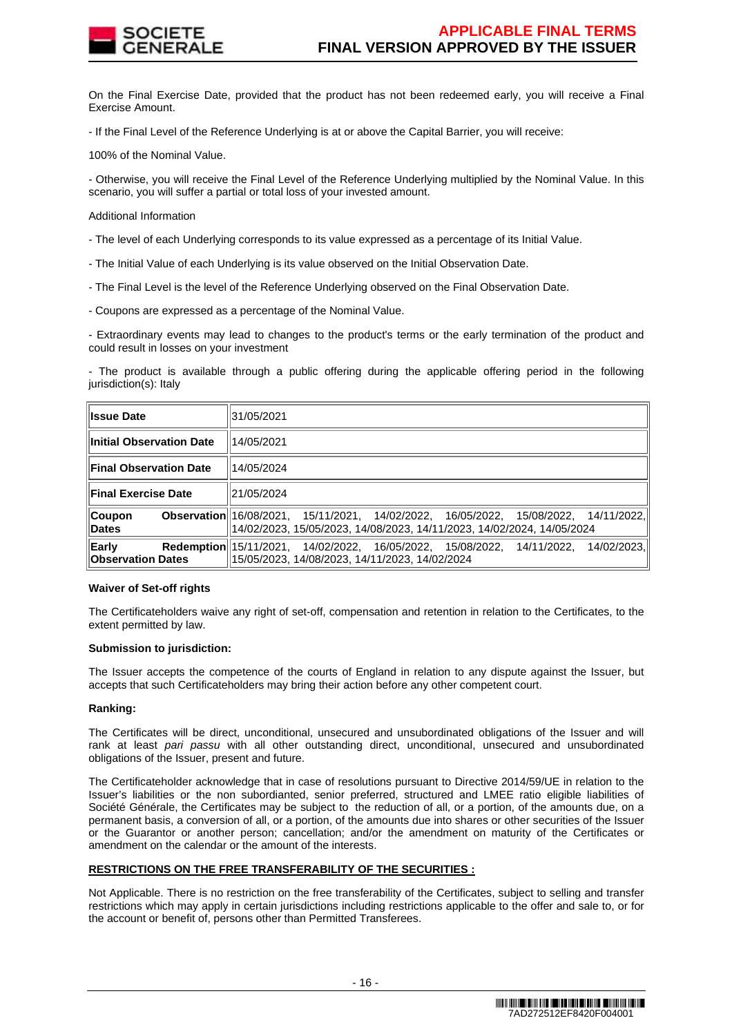

On the Final Exercise Date, provided that the product has not been redeemed early, you will receive a Final Exercise Amount.

- If the Final Level of the Reference Underlying is at or above the Capital Barrier, you will receive:

100% of the Nominal Value.

- Otherwise, you will receive the Final Level of the Reference Underlying multiplied by the Nominal Value. In this scenario, you will suffer a partial or total loss of your invested amount.

Additional Information

- The level of each Underlying corresponds to its value expressed as a percentage of its Initial Value.

- The Initial Value of each Underlying is its value observed on the Initial Observation Date.
- The Final Level is the level of the Reference Underlying observed on the Final Observation Date.
- Coupons are expressed as a percentage of the Nominal Value.

- Extraordinary events may lead to changes to the product's terms or the early termination of the product and could result in losses on your investment

- The product is available through a public offering during the applicable offering period in the following jurisdiction(s): Italy

| <b>Issue Date</b>                 | 31/05/2021                                                                                                                                                     |
|-----------------------------------|----------------------------------------------------------------------------------------------------------------------------------------------------------------|
| <b>Initial Observation Date</b>   | 14/05/2021                                                                                                                                                     |
| <b>Final Observation Date</b>     | 14/05/2024                                                                                                                                                     |
| <b>Final Exercise Date</b>        | 21/05/2024                                                                                                                                                     |
| Coupon<br>Dates                   | Observation 16/08/2021, 15/11/2021, 14/02/2022, 16/05/2022, 15/08/2022, 14/11/2022,<br> 14/02/2023, 15/05/2023, 14/08/2023, 14/11/2023, 14/02/2024, 14/05/2024 |
| Early<br><b>Observation Dates</b> | <b>Redemption</b> 15/11/2021, 14/02/2022, 16/05/2022, 15/08/2022, 14/11/2022,<br>14/02/2023.<br>15/05/2023, 14/08/2023, 14/11/2023, 14/02/2024                 |

## **Waiver of Set-off rights**

The Certificateholders waive any right of set-off, compensation and retention in relation to the Certificates, to the extent permitted by law.

## **Submission to jurisdiction:**

The Issuer accepts the competence of the courts of England in relation to any dispute against the Issuer, but accepts that such Certificateholders may bring their action before any other competent court.

## **Ranking:**

The Certificates will be direct, unconditional, unsecured and unsubordinated obligations of the Issuer and will rank at least pari passu with all other outstanding direct, unconditional, unsecured and unsubordinated obligations of the Issuer, present and future.

The Certificateholder acknowledge that in case of resolutions pursuant to Directive 2014/59/UE in relation to the Issuer's liabilities or the non subordianted, senior preferred, structured and LMEE ratio eligible liabilities of Société Générale, the Certificates may be subject to the reduction of all, or a portion, of the amounts due, on a permanent basis, a conversion of all, or a portion, of the amounts due into shares or other securities of the Issuer or the Guarantor or another person; cancellation; and/or the amendment on maturity of the Certificates or amendment on the calendar or the amount of the interests.

# **RESTRICTIONS ON THE FREE TRANSFERABILITY OF THE SECURITIES :**

Not Applicable. There is no restriction on the free transferability of the Certificates, subject to selling and transfer restrictions which may apply in certain jurisdictions including restrictions applicable to the offer and sale to, or for the account or benefit of, persons other than Permitted Transferees.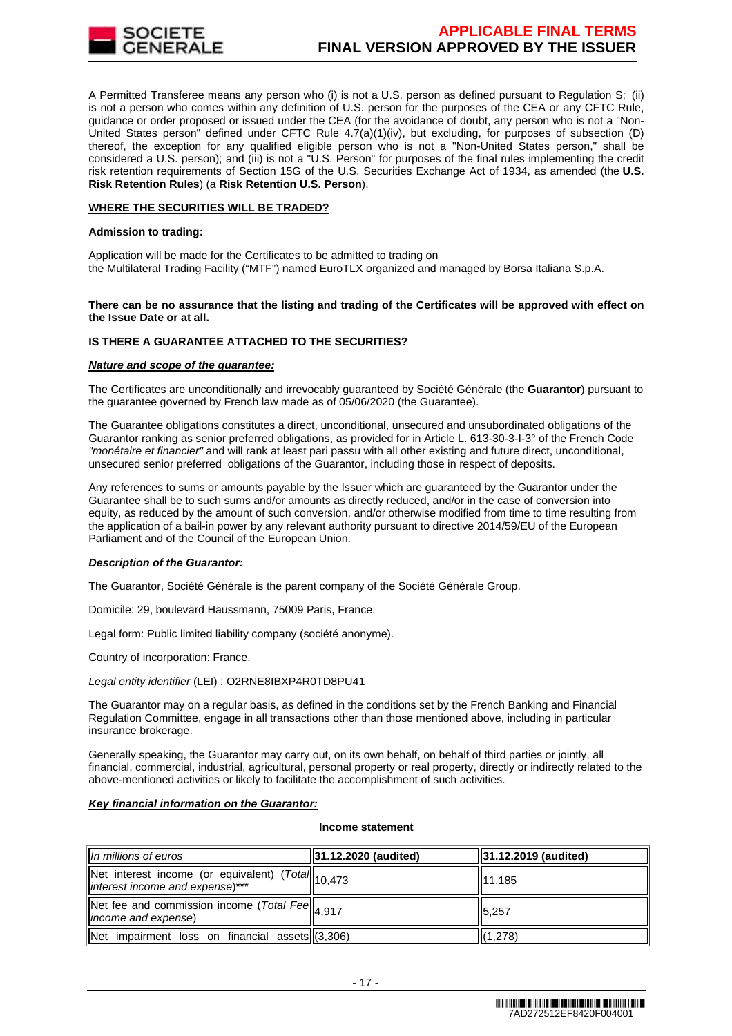

A Permitted Transferee means any person who (i) is not a U.S. person as defined pursuant to Regulation S; (ii) is not a person who comes within any definition of U.S. person for the purposes of the CEA or any CFTC Rule, guidance or order proposed or issued under the CEA (for the avoidance of doubt, any person who is not a "Non-United States person" defined under CFTC Rule 4.7(a)(1)(iv), but excluding, for purposes of subsection (D) thereof, the exception for any qualified eligible person who is not a "Non-United States person," shall be considered a U.S. person); and (iii) is not a "U.S. Person" for purposes of the final rules implementing the credit risk retention requirements of Section 15G of the U.S. Securities Exchange Act of 1934, as amended (the **U.S. Risk Retention Rules**) (a **Risk Retention U.S. Person**).

# **WHERE THE SECURITIES WILL BE TRADED?**

## **Admission to trading:**

Application will be made for the Certificates to be admitted to trading on the Multilateral Trading Facility ("MTF") named EuroTLX organized and managed by Borsa Italiana S.p.A.

# **There can be no assurance that the listing and trading of the Certificates will be approved with effect on the Issue Date or at all.**

# **IS THERE A GUARANTEE ATTACHED TO THE SECURITIES?**

## **Nature and scope of the guarantee:**

The Certificates are unconditionally and irrevocably guaranteed by Société Générale (the **Guarantor**) pursuant to the guarantee governed by French law made as of 05/06/2020 (the Guarantee).

The Guarantee obligations constitutes a direct, unconditional, unsecured and unsubordinated obligations of the Guarantor ranking as senior preferred obligations, as provided for in Article L. 613-30-3-I-3° of the French Code "monétaire et financier" and will rank at least pari passu with all other existing and future direct, unconditional, unsecured senior preferred obligations of the Guarantor, including those in respect of deposits.

Any references to sums or amounts payable by the Issuer which are guaranteed by the Guarantor under the Guarantee shall be to such sums and/or amounts as directly reduced, and/or in the case of conversion into equity, as reduced by the amount of such conversion, and/or otherwise modified from time to time resulting from the application of a bail-in power by any relevant authority pursuant to directive 2014/59/EU of the European Parliament and of the Council of the European Union.

## **Description of the Guarantor:**

The Guarantor, Société Générale is the parent company of the Société Générale Group.

Domicile: 29, boulevard Haussmann, 75009 Paris, France.

Legal form: Public limited liability company (société anonyme).

Country of incorporation: France.

# Legal entity identifier (LEI) : O2RNE8IBXP4R0TD8PU41

The Guarantor may on a regular basis, as defined in the conditions set by the French Banking and Financial Regulation Committee, engage in all transactions other than those mentioned above, including in particular insurance brokerage.

Generally speaking, the Guarantor may carry out, on its own behalf, on behalf of third parties or jointly, all financial, commercial, industrial, agricultural, personal property or real property, directly or indirectly related to the above-mentioned activities or likely to facilitate the accomplishment of such activities.

## **Key financial information on the Guarantor:**

#### **Income statement**

| $\parallel$ In millions of euros                                                          | <b>31.12.2020 (audited)</b> | $ 31.12.2019$ (audited) |
|-------------------------------------------------------------------------------------------|-----------------------------|-------------------------|
| Net interest income (or equivalent) ( $Total$ )<br>interest income and expense)***        |                             | 11,185                  |
| Net fee and commission income (Total Fee $\left\ _{4,917}\right\ $<br>income and expense) |                             | 5,257                   |
| Net impairment loss on financial assets (3,306)                                           |                             | (1,278)                 |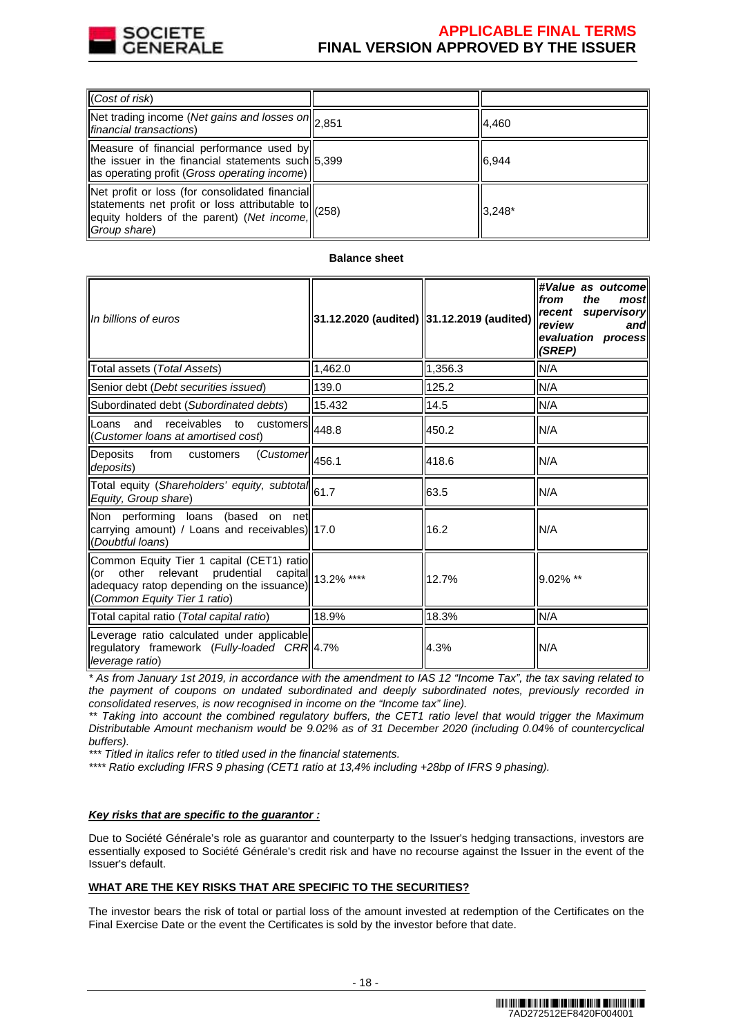

| $\ $ (Cost of risk)                                                                                                                                                                                                       |          |
|---------------------------------------------------------------------------------------------------------------------------------------------------------------------------------------------------------------------------|----------|
| $\sqrt{\text{Net}$ trading income (Net gains and losses on $\vert_{2,851}$<br><i>financial transactions</i> )                                                                                                             | 4,460    |
| Measure of financial performance used by<br>the issuer in the financial statements such 5,399<br>as operating profit (Gross operating income)                                                                             | 6,944    |
| Net profit or loss (for consolidated financial)<br>$\left \frac{1}{1258}\right $ statements net profit or loss attributable to $\left \frac{1}{258}\right $<br>equity holders of the parent) (Net income,<br>Group share) | $3.248*$ |

# **Balance sheet**

| In billions of euros                                                                                                                                                        | 31.12.2020 (audited) 31.12.2019 (audited) |         | #Value as outcomel<br>the<br>from<br>most<br>recent supervisory<br>review<br>and<br>evaluation process<br>(SREP) |
|-----------------------------------------------------------------------------------------------------------------------------------------------------------------------------|-------------------------------------------|---------|------------------------------------------------------------------------------------------------------------------|
| Total assets (Total Assets)                                                                                                                                                 | 1,462.0                                   | 1.356.3 | N/A                                                                                                              |
| Senior debt (Debt securities issued)                                                                                                                                        | 139.0                                     | 125.2   | N/A                                                                                                              |
| Subordinated debt (Subordinated debts)                                                                                                                                      | 15.432                                    | 14.5    | N/A                                                                                                              |
| and<br>$\overline{\text{receivables}}$ to customers $\vert$ 448.8<br>Loans<br>(Customer loans at amortised cost)                                                            |                                           | 450.2   | N/A                                                                                                              |
| Deposits<br>from<br>$\overline{\text{(Customer)}}$ 456.1<br>customers<br>deposits)                                                                                          |                                           | 418.6   | N/A                                                                                                              |
| Total equity (Shareholders' equity, subtotal 61.7<br>Equity, Group share)                                                                                                   |                                           | 63.5    | N/A                                                                                                              |
| Non performing loans (based on net<br>carrying amount) / Loans and receivables)  17.0<br>(Doubtful loans)                                                                   |                                           | 16.2    | N/A                                                                                                              |
| Common Equity Tier 1 capital (CET1) ratio<br>(or other relevant prudential capital) 13.2% ****<br>adequacy ratop depending on the issuance)<br>(Common Equity Tier 1 ratio) |                                           | 12.7%   | 9.02% **                                                                                                         |
| Total capital ratio (Total capital ratio)                                                                                                                                   | 18.9%                                     | 18.3%   | N/A                                                                                                              |
| Leverage ratio calculated under applicable<br>regulatory framework (Fully-loaded CRR 4.7%<br>leverage ratio)                                                                |                                           | 4.3%    | N/A                                                                                                              |

\* As from January 1st 2019, in accordance with the amendment to IAS 12 "Income Tax", the tax saving related to the payment of coupons on undated subordinated and deeply subordinated notes, previously recorded in consolidated reserves, is now recognised in income on the "Income tax" line).

\*\* Taking into account the combined regulatory buffers, the CET1 ratio level that would trigger the Maximum Distributable Amount mechanism would be 9.02% as of 31 December 2020 (including 0.04% of countercyclical buffers).

\*\*\* Titled in italics refer to titled used in the financial statements.

\*\*\*\* Ratio excluding IFRS 9 phasing (CET1 ratio at 13,4% including +28bp of IFRS 9 phasing).

## **Key risks that are specific to the guarantor :**

Due to Société Générale's role as guarantor and counterparty to the Issuer's hedging transactions, investors are essentially exposed to Société Générale's credit risk and have no recourse against the Issuer in the event of the Issuer's default.

# **WHAT ARE THE KEY RISKS THAT ARE SPECIFIC TO THE SECURITIES?**

The investor bears the risk of total or partial loss of the amount invested at redemption of the Certificates on the Final Exercise Date or the event the Certificates is sold by the investor before that date.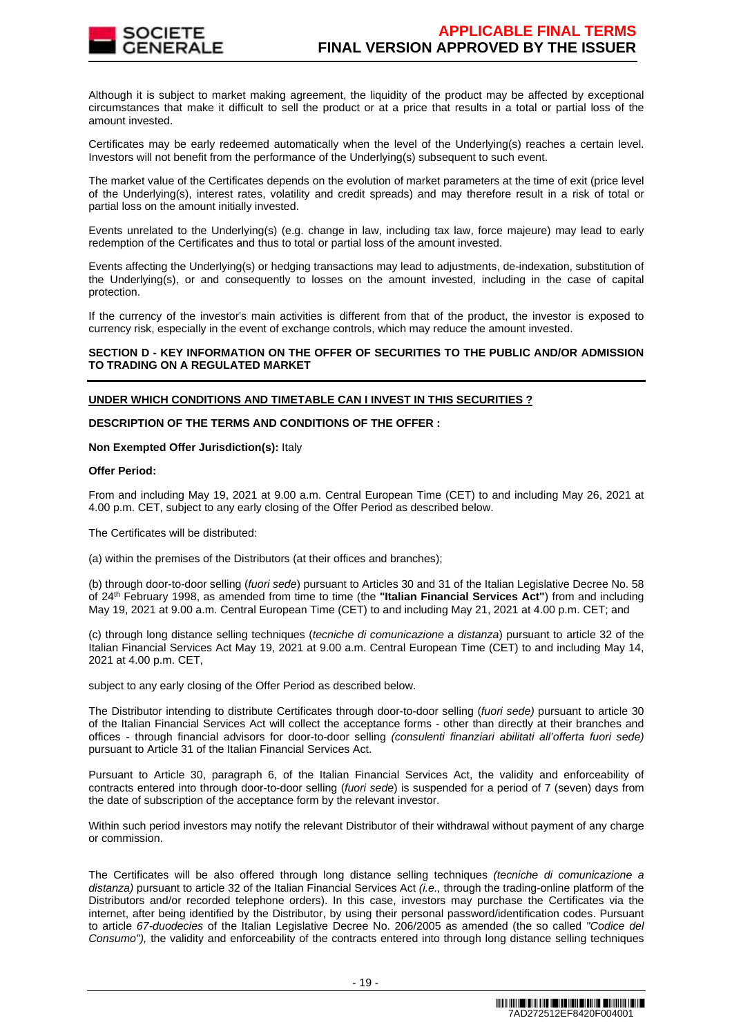

Although it is subject to market making agreement, the liquidity of the product may be affected by exceptional circumstances that make it difficult to sell the product or at a price that results in a total or partial loss of the amount invested.

Certificates may be early redeemed automatically when the level of the Underlying(s) reaches a certain level. Investors will not benefit from the performance of the Underlying(s) subsequent to such event.

The market value of the Certificates depends on the evolution of market parameters at the time of exit (price level of the Underlying(s), interest rates, volatility and credit spreads) and may therefore result in a risk of total or partial loss on the amount initially invested.

Events unrelated to the Underlying(s) (e.g. change in law, including tax law, force majeure) may lead to early redemption of the Certificates and thus to total or partial loss of the amount invested.

Events affecting the Underlying(s) or hedging transactions may lead to adjustments, de-indexation, substitution of the Underlying(s), or and consequently to losses on the amount invested, including in the case of capital protection.

If the currency of the investor's main activities is different from that of the product, the investor is exposed to currency risk, especially in the event of exchange controls, which may reduce the amount invested.

# **SECTION D - KEY INFORMATION ON THE OFFER OF SECURITIES TO THE PUBLIC AND/OR ADMISSION TO TRADING ON A REGULATED MARKET**

# **UNDER WHICH CONDITIONS AND TIMETABLE CAN I INVEST IN THIS SECURITIES ?**

# **DESCRIPTION OF THE TERMS AND CONDITIONS OF THE OFFER :**

## **Non Exempted Offer Jurisdiction(s):** Italy

# **Offer Period:**

From and including May 19, 2021 at 9.00 a.m. Central European Time (CET) to and including May 26, 2021 at 4.00 p.m. CET, subject to any early closing of the Offer Period as described below.

The Certificates will be distributed:

(a) within the premises of the Distributors (at their offices and branches);

(b) through door-to-door selling (fuori sede) pursuant to Articles 30 and 31 of the Italian Legislative Decree No. 58 of 24th February 1998, as amended from time to time (the **"Italian Financial Services Act"**) from and including May 19, 2021 at 9.00 a.m. Central European Time (CET) to and including May 21, 2021 at 4.00 p.m. CET; and

(c) through long distance selling techniques (tecniche di comunicazione a distanza) pursuant to article 32 of the Italian Financial Services Act May 19, 2021 at 9.00 a.m. Central European Time (CET) to and including May 14, 2021 at 4.00 p.m. CET,

subject to any early closing of the Offer Period as described below.

The Distributor intending to distribute Certificates through door-to-door selling (fuori sede) pursuant to article 30 of the Italian Financial Services Act will collect the acceptance forms - other than directly at their branches and offices - through financial advisors for door-to-door selling (consulenti finanziari abilitati all'offerta fuori sede) pursuant to Article 31 of the Italian Financial Services Act.

Pursuant to Article 30, paragraph 6, of the Italian Financial Services Act, the validity and enforceability of contracts entered into through door-to-door selling (fuori sede) is suspended for a period of 7 (seven) days from the date of subscription of the acceptance form by the relevant investor.

Within such period investors may notify the relevant Distributor of their withdrawal without payment of any charge or commission.

The Certificates will be also offered through long distance selling techniques (tecniche di comunicazione a distanza) pursuant to article 32 of the Italian Financial Services Act (i.e., through the trading-online platform of the Distributors and/or recorded telephone orders). In this case, investors may purchase the Certificates via the internet, after being identified by the Distributor, by using their personal password/identification codes. Pursuant to article 67-duodecies of the Italian Legislative Decree No. 206/2005 as amended (the so called "Codice del Consumo"), the validity and enforceability of the contracts entered into through long distance selling techniques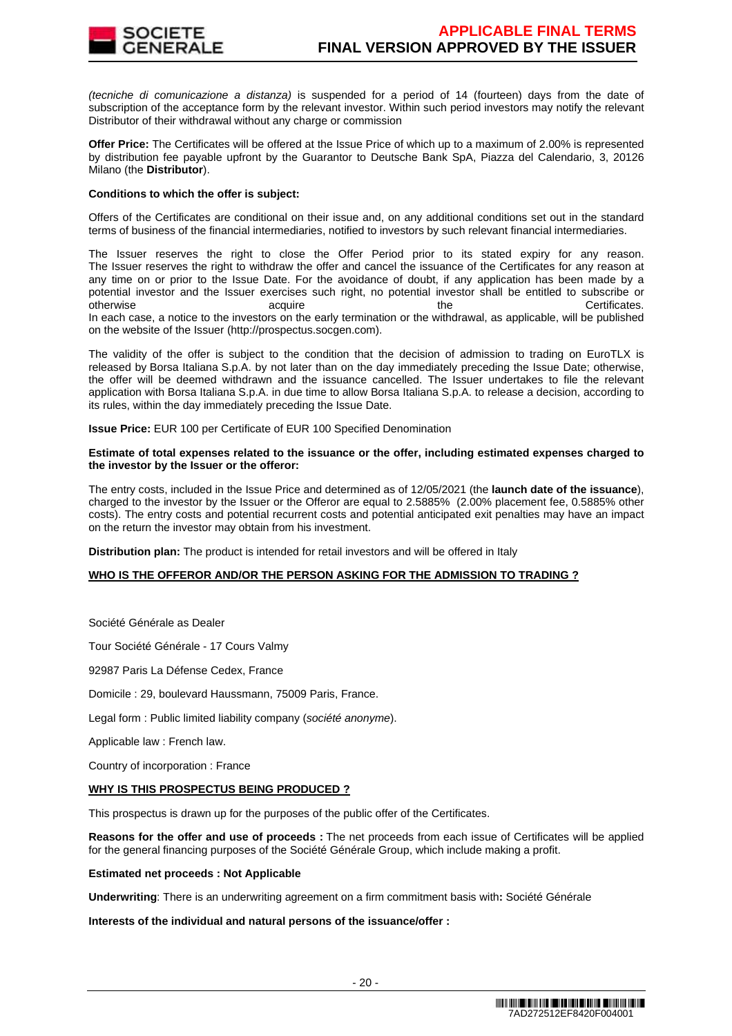

(tecniche di comunicazione a distanza) is suspended for a period of 14 (fourteen) days from the date of subscription of the acceptance form by the relevant investor. Within such period investors may notify the relevant Distributor of their withdrawal without any charge or commission

**Offer Price:** The Certificates will be offered at the Issue Price of which up to a maximum of 2.00% is represented by distribution fee payable upfront by the Guarantor to Deutsche Bank SpA, Piazza del Calendario, 3, 20126 Milano (the **Distributor**).

## **Conditions to which the offer is subject:**

Offers of the Certificates are conditional on their issue and, on any additional conditions set out in the standard terms of business of the financial intermediaries, notified to investors by such relevant financial intermediaries.

The Issuer reserves the right to close the Offer Period prior to its stated expiry for any reason. The Issuer reserves the right to withdraw the offer and cancel the issuance of the Certificates for any reason at any time on or prior to the Issue Date. For the avoidance of doubt, if any application has been made by a potential investor and the Issuer exercises such right, no potential investor shall be entitled to subscribe or otherwise acquire acquire the the Certificates. In each case, a notice to the investors on the early termination or the withdrawal, as applicable, will be published on the website of the Issuer (http://prospectus.socgen.com).

The validity of the offer is subject to the condition that the decision of admission to trading on EuroTLX is released by Borsa Italiana S.p.A. by not later than on the day immediately preceding the Issue Date; otherwise, the offer will be deemed withdrawn and the issuance cancelled. The Issuer undertakes to file the relevant application with Borsa Italiana S.p.A. in due time to allow Borsa Italiana S.p.A. to release a decision, according to its rules, within the day immediately preceding the Issue Date.

**Issue Price:** EUR 100 per Certificate of EUR 100 Specified Denomination

#### **Estimate of total expenses related to the issuance or the offer, including estimated expenses charged to the investor by the Issuer or the offeror:**

The entry costs, included in the Issue Price and determined as of 12/05/2021 (the **launch date of the issuance**), charged to the investor by the Issuer or the Offeror are equal to 2.5885% (2.00% placement fee, 0.5885% other costs). The entry costs and potential recurrent costs and potential anticipated exit penalties may have an impact on the return the investor may obtain from his investment.

**Distribution plan:** The product is intended for retail investors and will be offered in Italy

## **WHO IS THE OFFEROR AND/OR THE PERSON ASKING FOR THE ADMISSION TO TRADING ?**

Société Générale as Dealer

Tour Société Générale - 17 Cours Valmy

92987 Paris La Défense Cedex, France

Domicile : 29, boulevard Haussmann, 75009 Paris, France.

Legal form : Public limited liability company (société anonyme).

Applicable law : French law.

Country of incorporation : France

## **WHY IS THIS PROSPECTUS BEING PRODUCED ?**

This prospectus is drawn up for the purposes of the public offer of the Certificates.

**Reasons for the offer and use of proceeds :** The net proceeds from each issue of Certificates will be applied for the general financing purposes of the Société Générale Group, which include making a profit.

#### **Estimated net proceeds : Not Applicable**

**Underwriting**: There is an underwriting agreement on a firm commitment basis with**:** Société Générale

## **Interests of the individual and natural persons of the issuance/offer :**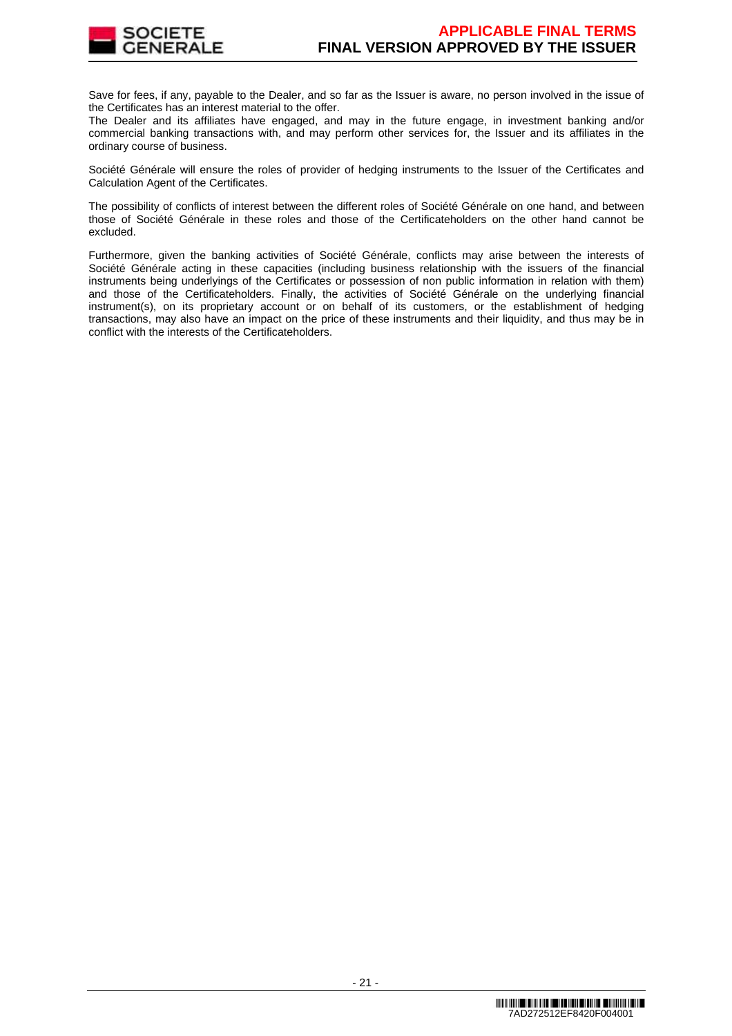

Save for fees, if any, payable to the Dealer, and so far as the Issuer is aware, no person involved in the issue of the Certificates has an interest material to the offer.

The Dealer and its affiliates have engaged, and may in the future engage, in investment banking and/or commercial banking transactions with, and may perform other services for, the Issuer and its affiliates in the ordinary course of business.

Société Générale will ensure the roles of provider of hedging instruments to the Issuer of the Certificates and Calculation Agent of the Certificates.

The possibility of conflicts of interest between the different roles of Société Générale on one hand, and between those of Société Générale in these roles and those of the Certificateholders on the other hand cannot be excluded.

Furthermore, given the banking activities of Société Générale, conflicts may arise between the interests of Société Générale acting in these capacities (including business relationship with the issuers of the financial instruments being underlyings of the Certificates or possession of non public information in relation with them) and those of the Certificateholders. Finally, the activities of Société Générale on the underlying financial instrument(s), on its proprietary account or on behalf of its customers, or the establishment of hedging transactions, may also have an impact on the price of these instruments and their liquidity, and thus may be in conflict with the interests of the Certificateholders.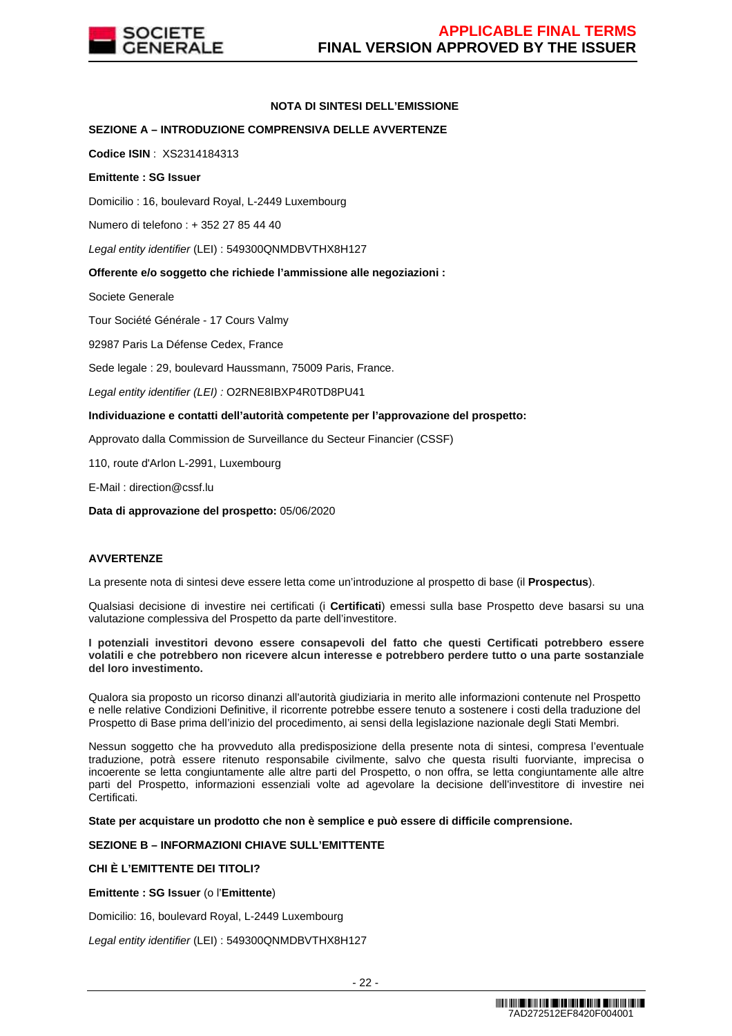

# **NOTA DI SINTESI DELL'EMISSIONE**

# **SEZIONE A – INTRODUZIONE COMPRENSIVA DELLE AVVERTENZE**

**Codice ISIN** : XS2314184313

# **Emittente : SG Issuer**

Domicilio : 16, boulevard Royal, L-2449 Luxembourg

Numero di telefono : + 352 27 85 44 40

Legal entity identifier (LEI) : 549300QNMDBVTHX8H127

# **Offerente e/o soggetto che richiede l'ammissione alle negoziazioni :**

Societe Generale

Tour Société Générale - 17 Cours Valmy

92987 Paris La Défense Cedex, France

Sede legale : 29, boulevard Haussmann, 75009 Paris, France.

Legal entity identifier (LEI) : O2RNE8IBXP4R0TD8PU41

# **Individuazione e contatti dell'autorità competente per l'approvazione del prospetto:**

Approvato dalla Commission de Surveillance du Secteur Financier (CSSF)

110, route d'Arlon L-2991, Luxembourg

E-Mail : direction@cssf.lu

**Data di approvazione del prospetto:** 05/06/2020

# **AVVERTENZE**

La presente nota di sintesi deve essere letta come un'introduzione al prospetto di base (il **Prospectus**).

Qualsiasi decisione di investire nei certificati (i **Certificati**) emessi sulla base Prospetto deve basarsi su una valutazione complessiva del Prospetto da parte dell'investitore.

**I potenziali investitori devono essere consapevoli del fatto che questi Certificati potrebbero essere volatili e che potrebbero non ricevere alcun interesse e potrebbero perdere tutto o una parte sostanziale del loro investimento.** 

Qualora sia proposto un ricorso dinanzi all'autorità giudiziaria in merito alle informazioni contenute nel Prospetto e nelle relative Condizioni Definitive, il ricorrente potrebbe essere tenuto a sostenere i costi della traduzione del Prospetto di Base prima dell'inizio del procedimento, ai sensi della legislazione nazionale degli Stati Membri.

Nessun soggetto che ha provveduto alla predisposizione della presente nota di sintesi, compresa l'eventuale traduzione, potrà essere ritenuto responsabile civilmente, salvo che questa risulti fuorviante, imprecisa o incoerente se letta congiuntamente alle altre parti del Prospetto, o non offra, se letta congiuntamente alle altre parti del Prospetto, informazioni essenziali volte ad agevolare la decisione dell'investitore di investire nei Certificati.

**State per acquistare un prodotto che non è semplice e può essere di difficile comprensione.**

# **SEZIONE B – INFORMAZIONI CHIAVE SULL'EMITTENTE**

# **CHI È L'EMITTENTE DEI TITOLI?**

**Emittente : SG Issuer** (o l'**Emittente**)

Domicilio: 16, boulevard Royal, L-2449 Luxembourg

Legal entity identifier (LEI) : 549300QNMDBVTHX8H127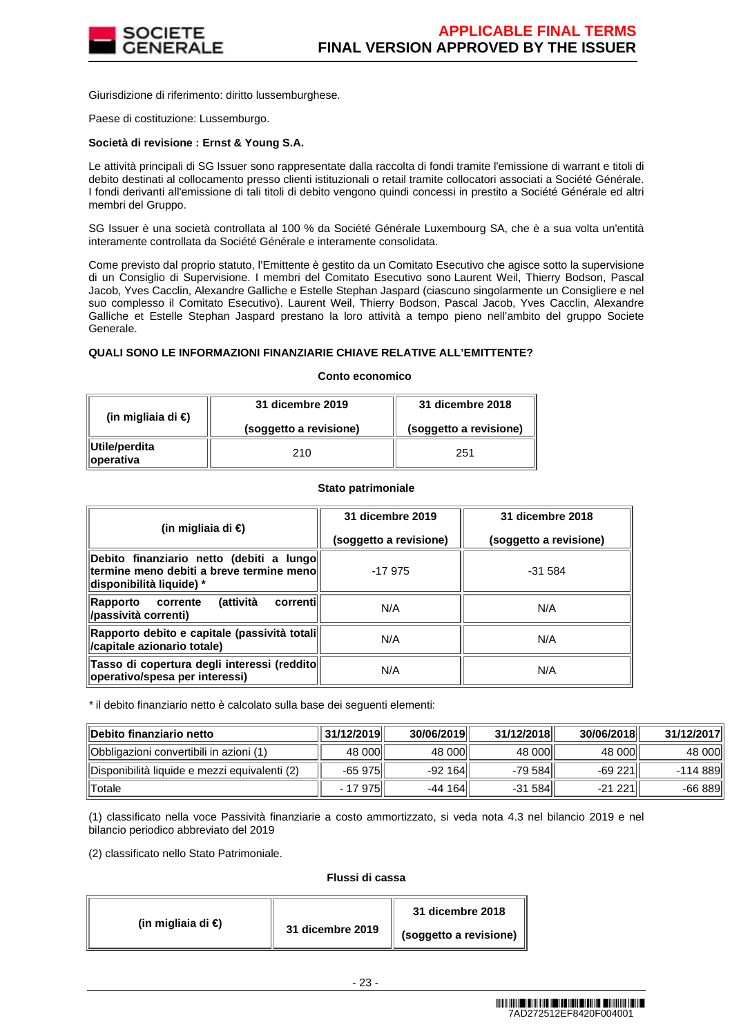

Giurisdizione di riferimento: diritto lussemburghese.

Paese di costituzione: Lussemburgo.

# **Società di revisione : Ernst & Young S.A.**

Le attività principali di SG Issuer sono rappresentate dalla raccolta di fondi tramite l'emissione di warrant e titoli di debito destinati al collocamento presso clienti istituzionali o retail tramite collocatori associati a Société Générale. I fondi derivanti all'emissione di tali titoli di debito vengono quindi concessi in prestito a Société Générale ed altri membri del Gruppo.

SG Issuer è una società controllata al 100 % da Société Générale Luxembourg SA, che è a sua volta un'entità interamente controllata da Société Générale e interamente consolidata.

Come previsto dal proprio statuto, l'Emittente è gestito da un Comitato Esecutivo che agisce sotto la supervisione di un Consiglio di Supervisione. I membri del Comitato Esecutivo sono Laurent Weil, Thierry Bodson, Pascal Jacob, Yves Cacclin, Alexandre Galliche e Estelle Stephan Jaspard (ciascuno singolarmente un Consigliere e nel suo complesso il Comitato Esecutivo). Laurent Weil, Thierry Bodson, Pascal Jacob, Yves Cacclin, Alexandre Galliche et Estelle Stephan Jaspard prestano la loro attività a tempo pieno nell'ambito del gruppo Societe Generale.

## **QUALI SONO LE INFORMAZIONI FINANZIARIE CHIAVE RELATIVE ALL'EMITTENTE?**

#### **Conto economico**

| (in migliaia di €)                  | 31 dicembre 2019<br>(soggetto a revisione) | 31 dicembre 2018<br>(soggetto a revisione) |
|-------------------------------------|--------------------------------------------|--------------------------------------------|
| ∥Utile/perdita<br><b>loperativa</b> | 210                                        | 251                                        |

## **Stato patrimoniale**

| (in migliaia di €)                                                                                                 | 31 dicembre 2019       | 31 dicembre 2018       |
|--------------------------------------------------------------------------------------------------------------------|------------------------|------------------------|
|                                                                                                                    | (soggetto a revisione) | (soggetto a revisione) |
| Debito finanziario netto (debiti a lungo<br>termine meno debiti a breve termine menoll<br>disponibilità liquide) * | $-17975$               | $-31.584$              |
| (attività<br>correnti<br>corrente<br>Rapporto<br>/passività correnti)                                              | N/A                    | N/A                    |
| Rapporto debito e capitale (passività totali <br>/capitale azionario totale)                                       | N/A                    | N/A                    |
| Tasso di copertura degli interessi (reddito<br>operativo/spesa per interessi)                                      | N/A                    | N/A                    |

\* il debito finanziario netto è calcolato sulla base dei seguenti elementi:

| <b>Debito finanziario netto</b>               | 31/12/2019 | 30/06/2019 | 31/12/2018 | 30/06/2018 | 31/12/2017 |
|-----------------------------------------------|------------|------------|------------|------------|------------|
| Obbligazioni convertibili in azioni (1)       | 48 000     | 48 000     | 48 000     | 48 000     | 48 000     |
| Disponibilità liquide e mezzi equivalenti (2) | $-65975$   | $-92164$   | -79 584    | $-69221$   | -114 889   |
| <b>Totale</b>                                 | - 17 975   | $-44164$   | $-31584$   | -21 221 l' | $-66889$   |

(1) classificato nella voce Passività finanziarie a costo ammortizzato, si veda nota 4.3 nel bilancio 2019 e nel bilancio periodico abbreviato del 2019

(2) classificato nello Stato Patrimoniale.

# **Flussi di cassa**

|                    |                  | 31 dicembre 2018       |
|--------------------|------------------|------------------------|
| (in migliaia di €) | 31 dicembre 2019 | (soggetto a revisione) |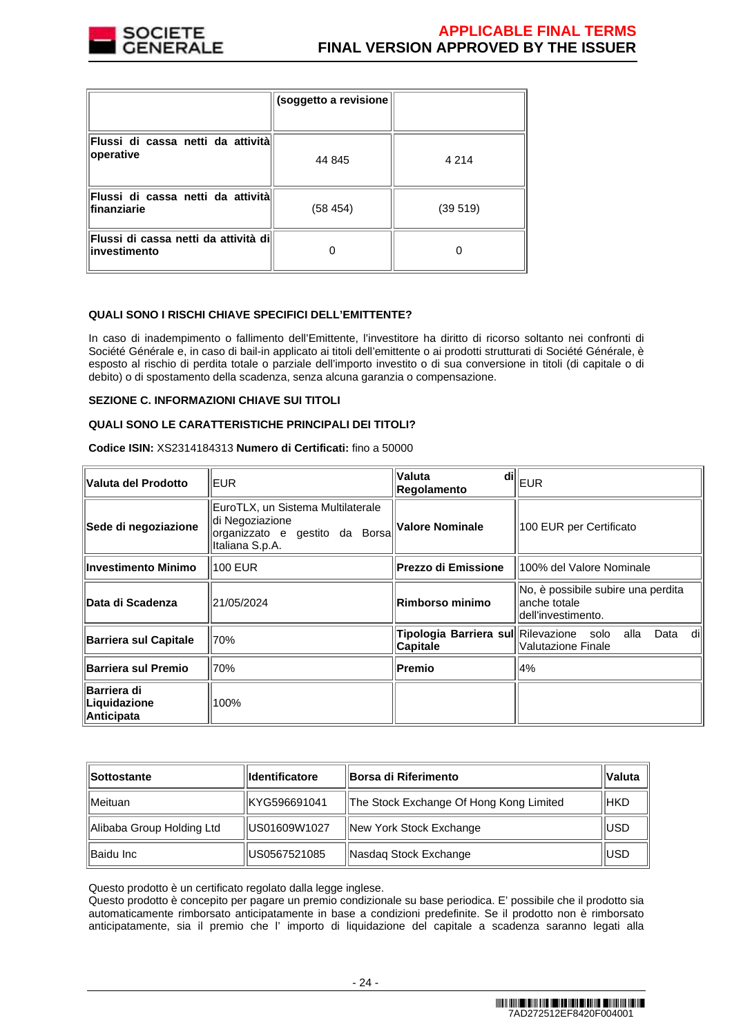

|                                                               | (soggetto a revisione |         |
|---------------------------------------------------------------|-----------------------|---------|
| Flussi di cassa netti da attività<br>operative                | 44 845                | 4 2 1 4 |
| Flussi di cassa netti da attività<br>lfinanziarie             | (58454)               | (39519) |
| <b>Flussi di cassa netti da attività di</b> l<br>investimento |                       |         |

# **QUALI SONO I RISCHI CHIAVE SPECIFICI DELL'EMITTENTE?**

In caso di inadempimento o fallimento dell'Emittente, l'investitore ha diritto di ricorso soltanto nei confronti di Société Générale e, in caso di bail-in applicato ai titoli dell'emittente o ai prodotti strutturati di Société Générale, è esposto al rischio di perdita totale o parziale dell'importo investito o di sua conversione in titoli (di capitale o di debito) o di spostamento della scadenza, senza alcuna garanzia o compensazione.

## **SEZIONE C. INFORMAZIONI CHIAVE SUI TITOLI**

# **QUALI SONO LE CARATTERISTICHE PRINCIPALI DEI TITOLI?**

**Codice ISIN:** XS2314184313 **Numero di Certificati:** fino a 50000

| Valuta del Prodotto                       | EUR                                                                                                       | Valuta<br>Regolamento                                      | $\left\Vert \mathbf{d}\mathbf{H}\right\Vert _{\text{EUR}}$                |
|-------------------------------------------|-----------------------------------------------------------------------------------------------------------|------------------------------------------------------------|---------------------------------------------------------------------------|
| Sede di negoziazione                      | EuroTLX, un Sistema Multilaterale<br>di Negoziazione<br>organizzato e gestito da Borsa<br>Italiana S.p.A. | Valore Nominale                                            | 100 EUR per Certificato                                                   |
| Investimento Minimo                       | 100 EUR                                                                                                   | <b>Prezzo di Emissione</b>                                 | 100% del Valore Nominale                                                  |
| Data di Scadenza                          | 21/05/2024                                                                                                | Rimborso minimo                                            | No, è possibile subire una perdita<br>lanche totale<br>dell'investimento. |
| <b>Barriera sul Capitale</b>              | 70%                                                                                                       | Tipologia Barriera sul Rilevazione solo<br><b>Capitale</b> | alla<br>Data<br>dill<br>llValutazione Finale                              |
| <b>Barriera sul Premio</b>                | 70%                                                                                                       | Premio                                                     | 4%                                                                        |
| Barriera di<br>Liquidazione<br>Anticipata | 100%                                                                                                      |                                                            |                                                                           |

| Sottostante               | <b>Identificatore</b> | Borsa di Riferimento                    |             |
|---------------------------|-----------------------|-----------------------------------------|-------------|
| <b>IMeituan</b>           | KYG596691041          | The Stock Exchange Of Hong Kong Limited | <b>HKD</b>  |
| Alibaba Group Holding Ltd | US01609W1027          | New York Stock Exchange                 | <b>IUSD</b> |
| Baidu Inc                 | US0567521085          | Nasdag Stock Exchange                   | <b>IUSD</b> |

Questo prodotto è un certificato regolato dalla legge inglese.

Questo prodotto è concepito per pagare un premio condizionale su base periodica. E' possibile che il prodotto sia automaticamente rimborsato anticipatamente in base a condizioni predefinite. Se il prodotto non è rimborsato anticipatamente, sia il premio che l' importo di liquidazione del capitale a scadenza saranno legati alla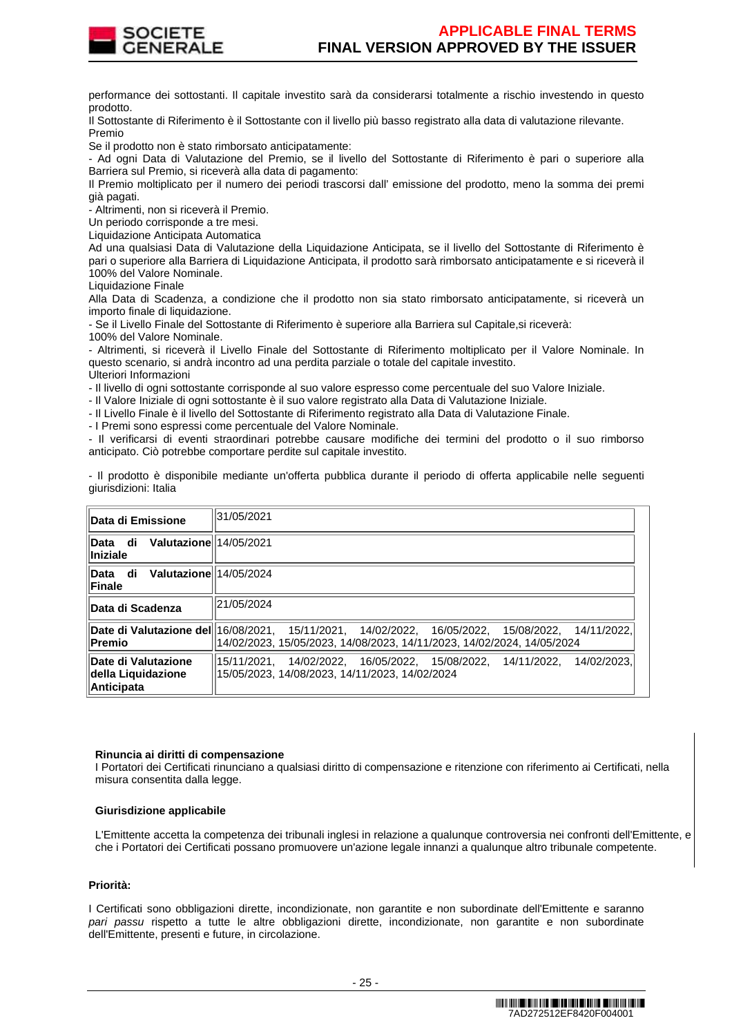

performance dei sottostanti. Il capitale investito sarà da considerarsi totalmente a rischio investendo in questo prodotto.

Il Sottostante di Riferimento è il Sottostante con il livello più basso registrato alla data di valutazione rilevante. Premio

Se il prodotto non è stato rimborsato anticipatamente:

- Ad ogni Data di Valutazione del Premio, se il livello del Sottostante di Riferimento è pari o superiore alla Barriera sul Premio, si riceverà alla data di pagamento:

Il Premio moltiplicato per il numero dei periodi trascorsi dall' emissione del prodotto, meno la somma dei premi già pagati.

- Altrimenti, non si riceverà il Premio.

Un periodo corrisponde a tre mesi.

Liquidazione Anticipata Automatica

Ad una qualsiasi Data di Valutazione della Liquidazione Anticipata, se il livello del Sottostante di Riferimento è pari o superiore alla Barriera di Liquidazione Anticipata, il prodotto sarà rimborsato anticipatamente e si riceverà il 100% del Valore Nominale.

Liquidazione Finale

Alla Data di Scadenza, a condizione che il prodotto non sia stato rimborsato anticipatamente, si riceverà un importo finale di liquidazione.

- Se il Livello Finale del Sottostante di Riferimento è superiore alla Barriera sul Capitale,si riceverà:

100% del Valore Nominale.

- Altrimenti, si riceverà il Livello Finale del Sottostante di Riferimento moltiplicato per il Valore Nominale. In questo scenario, si andrà incontro ad una perdita parziale o totale del capitale investito. Ulteriori Informazioni

- Il livello di ogni sottostante corrisponde al suo valore espresso come percentuale del suo Valore Iniziale.

- Il Valore Iniziale di ogni sottostante è il suo valore registrato alla Data di Valutazione Iniziale.

- Il Livello Finale è il livello del Sottostante di Riferimento registrato alla Data di Valutazione Finale.

- I Premi sono espressi come percentuale del Valore Nominale.

- Il verificarsi di eventi straordinari potrebbe causare modifiche dei termini del prodotto o il suo rimborso anticipato. Ciò potrebbe comportare perdite sul capitale investito.

- Il prodotto è disponibile mediante un'offerta pubblica durante il periodo di offerta applicabile nelle seguenti giurisdizioni: Italia

| Data di Emissione                                              | 31/05/2021                                                                                                                                                                 |
|----------------------------------------------------------------|----------------------------------------------------------------------------------------------------------------------------------------------------------------------------|
| Valutazione 14/05/2021<br>Data di<br>Iniziale                  |                                                                                                                                                                            |
| Valutazione 14/05/2024<br>Data di<br>Finale                    |                                                                                                                                                                            |
| Data di Scadenza                                               | 21/05/2024                                                                                                                                                                 |
| Premio                                                         | Date di Valutazione del 16/08/2021, 15/11/2021, 14/02/2022, 16/05/2022, 15/08/2022, 14/11/2022,<br>l14/02/2023. 15/05/2023. 14/08/2023. 14/11/2023. 14/02/2024. 14/05/2024 |
| Date di Valutazione<br>della Liquidazione<br><b>Anticipata</b> | 14/02/2023.<br>15/11/2021. 14/02/2022. 16/05/2022. 15/08/2022.<br>14/11/2022.<br>15/05/2023. 14/08/2023. 14/11/2023. 14/02/2024                                            |

## **Rinuncia ai diritti di compensazione**

I Portatori dei Certificati rinunciano a qualsiasi diritto di compensazione e ritenzione con riferimento ai Certificati, nella misura consentita dalla legge.

## **Giurisdizione applicabile**

L'Emittente accetta la competenza dei tribunali inglesi in relazione a qualunque controversia nei confronti dell'Emittente, e che i Portatori dei Certificati possano promuovere un'azione legale innanzi a qualunque altro tribunale competente.

## **Priorità:**

I Certificati sono obbligazioni dirette, incondizionate, non garantite e non subordinate dell'Emittente e saranno pari passu rispetto a tutte le altre obbligazioni dirette, incondizionate, non garantite e non subordinate dell'Emittente, presenti e future, in circolazione.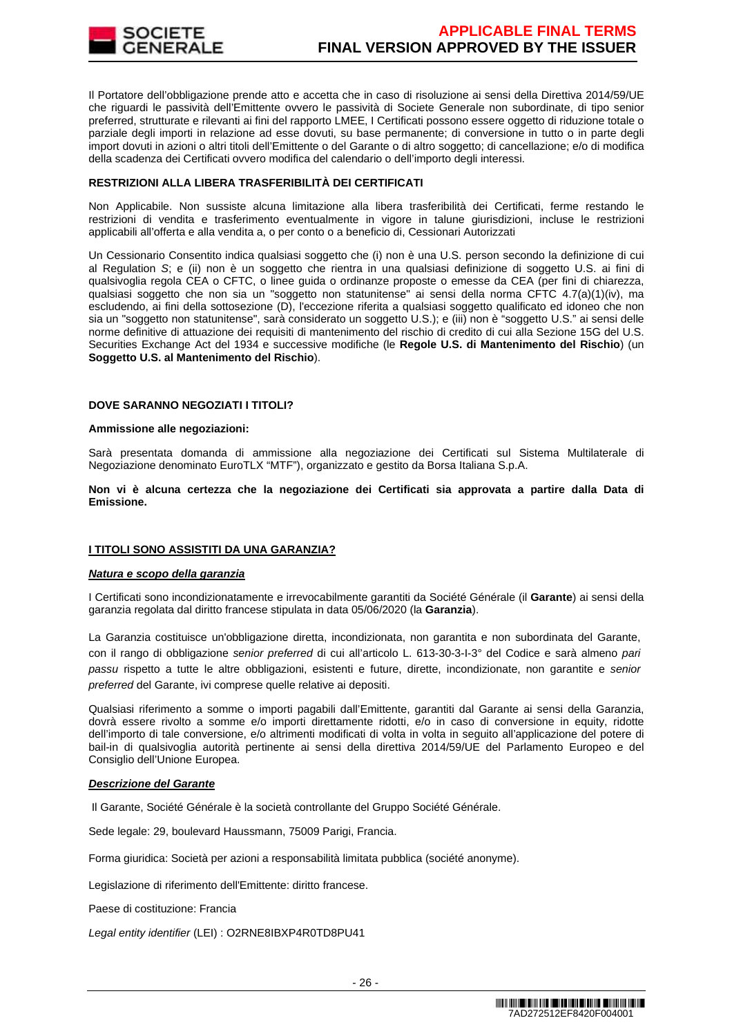

Il Portatore dell'obbligazione prende atto e accetta che in caso di risoluzione ai sensi della Direttiva 2014/59/UE che riguardi le passività dell'Emittente ovvero le passività di Societe Generale non subordinate, di tipo senior preferred, strutturate e rilevanti ai fini del rapporto LMEE, I Certificati possono essere oggetto di riduzione totale o parziale degli importi in relazione ad esse dovuti, su base permanente; di conversione in tutto o in parte degli import dovuti in azioni o altri titoli dell'Emittente o del Garante o di altro soggetto; di cancellazione; e/o di modifica della scadenza dei Certificati ovvero modifica del calendario o dell'importo degli interessi.

# **RESTRIZIONI ALLA LIBERA TRASFERIBILITÀ DEI CERTIFICATI**

Non Applicabile. Non sussiste alcuna limitazione alla libera trasferibilità dei Certificati, ferme restando le restrizioni di vendita e trasferimento eventualmente in vigore in talune giurisdizioni, incluse le restrizioni applicabili all'offerta e alla vendita a, o per conto o a beneficio di, Cessionari Autorizzati

Un Cessionario Consentito indica qualsiasi soggetto che (i) non è una U.S. person secondo la definizione di cui al Regulation S; e (ii) non è un soggetto che rientra in una qualsiasi definizione di soggetto U.S. ai fini di qualsivoglia regola CEA o CFTC, o linee guida o ordinanze proposte o emesse da CEA (per fini di chiarezza, qualsiasi soggetto che non sia un "soggetto non statunitense" ai sensi della norma CFTC 4.7(a)(1)(iv), ma escludendo, ai fini della sottosezione (D), l'eccezione riferita a qualsiasi soggetto qualificato ed idoneo che non sia un "soggetto non statunitense", sarà considerato un soggetto U.S.); e (iii) non è "soggetto U.S." ai sensi delle norme definitive di attuazione dei requisiti di mantenimento del rischio di credito di cui alla Sezione 15G del U.S. Securities Exchange Act del 1934 e successive modifiche (le **Regole U.S. di Mantenimento del Rischio**) (un **Soggetto U.S. al Mantenimento del Rischio**).

# **DOVE SARANNO NEGOZIATI I TITOLI?**

## **Ammissione alle negoziazioni:**

Sarà presentata domanda di ammissione alla negoziazione dei Certificati sul Sistema Multilaterale di Negoziazione denominato EuroTLX "MTF"), organizzato e gestito da Borsa Italiana S.p.A.

**Non vi è alcuna certezza che la negoziazione dei Certificati sia approvata a partire dalla Data di Emissione.**

# **I TITOLI SONO ASSISTITI DA UNA GARANZIA?**

## **Natura e scopo della garanzia**

I Certificati sono incondizionatamente e irrevocabilmente garantiti da Société Générale (il **Garante**) ai sensi della garanzia regolata dal diritto francese stipulata in data 05/06/2020 (la **Garanzia**).

La Garanzia costituisce un'obbligazione diretta, incondizionata, non garantita e non subordinata del Garante, con il rango di obbligazione senior preferred di cui all'articolo L. 613-30-3-I-3° del Codice e sarà almeno pari passu rispetto a tutte le altre obbligazioni, esistenti e future, dirette, incondizionate, non garantite e senior preferred del Garante, ivi comprese quelle relative ai depositi.

Qualsiasi riferimento a somme o importi pagabili dall'Emittente, garantiti dal Garante ai sensi della Garanzia, dovrà essere rivolto a somme e/o importi direttamente ridotti, e/o in caso di conversione in equity, ridotte dell'importo di tale conversione, e/o altrimenti modificati di volta in volta in seguito all'applicazione del potere di bail-in di qualsivoglia autorità pertinente ai sensi della direttiva 2014/59/UE del Parlamento Europeo e del Consiglio dell'Unione Europea.

## **Descrizione del Garante**

Il Garante, Société Générale è la società controllante del Gruppo Société Générale.

Sede legale: 29, boulevard Haussmann, 75009 Parigi, Francia.

Forma giuridica: Società per azioni a responsabilità limitata pubblica (société anonyme).

Legislazione di riferimento dell'Emittente: diritto francese.

Paese di costituzione: Francia

Legal entity identifier (LEI) : O2RNE8IBXP4R0TD8PU41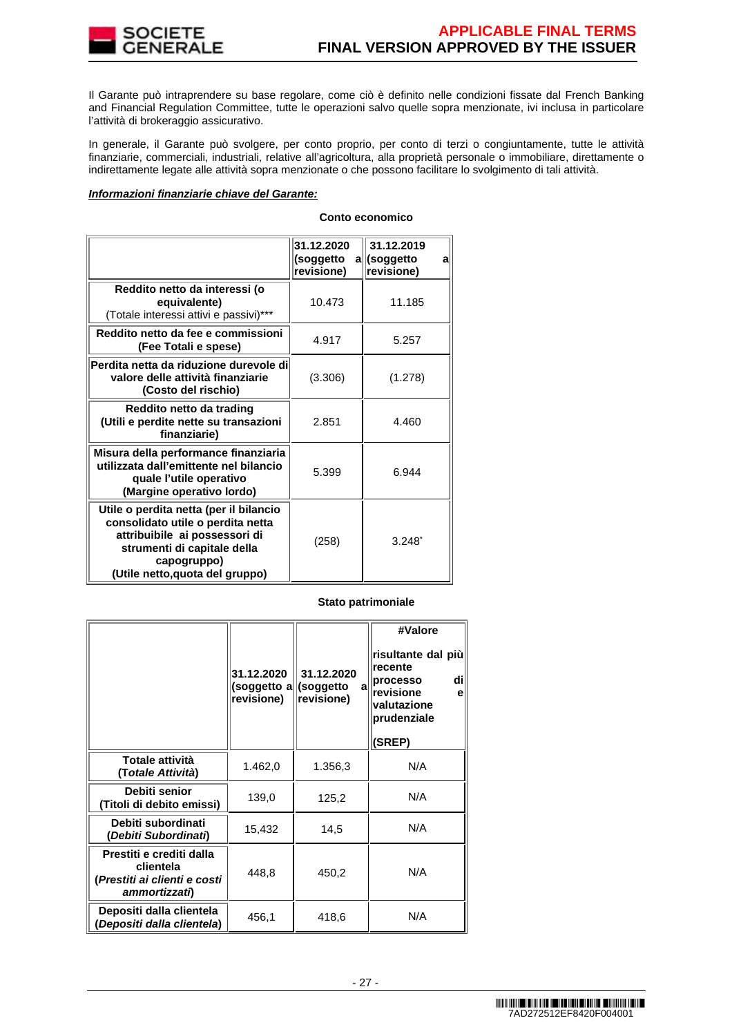

Il Garante può intraprendere su base regolare, come ciò è definito nelle condizioni fissate dal French Banking and Financial Regulation Committee, tutte le operazioni salvo quelle sopra menzionate, ivi inclusa in particolare l'attività di brokeraggio assicurativo.

In generale, il Garante può svolgere, per conto proprio, per conto di terzi o congiuntamente, tutte le attività finanziarie, commerciali, industriali, relative all'agricoltura, alla proprietà personale o immobiliare, direttamente o indirettamente legate alle attività sopra menzionate o che possono facilitare lo svolgimento di tali attività.

## **Informazioni finanziarie chiave del Garante:**

| Conto economico |
|-----------------|
|                 |

|                                                                                                                                                                                               | 31.12.2020<br>(soggetto<br>revisione) | 31.12.2019<br>a coggetto<br>al<br>revisione) |
|-----------------------------------------------------------------------------------------------------------------------------------------------------------------------------------------------|---------------------------------------|----------------------------------------------|
| Reddito netto da interessi (o<br>equivalente)<br>(Totale interessi attivi e passivi)***                                                                                                       | 10.473                                | 11.185                                       |
| Reddito netto da fee e commissioni<br>(Fee Totali e spese)                                                                                                                                    | 4.917                                 | 5.257                                        |
| Perdita netta da riduzione durevole di<br>valore delle attività finanziarie<br>(Costo del rischio)                                                                                            | (3.306)                               | (1.278)                                      |
| Reddito netto da trading<br>(Utili e perdite nette su transazioni<br>finanziarie)                                                                                                             | 2.851                                 | 4.460                                        |
| Misura della performance finanziaria<br>utilizzata dall'emittente nel bilancio<br>quale l'utile operativo<br>(Margine operativo lordo)                                                        | 5.399                                 | 6.944                                        |
| Utile o perdita netta (per il bilancio<br>consolidato utile o perdita netta<br>attribuibile ai possessori di<br>strumenti di capitale della<br>capogruppo)<br>(Utile netto, quota del gruppo) | (258)                                 | $3.248^{*}$                                  |

# **Stato patrimoniale**

|                                                                                        | 31.12.2020<br>(soggetto all(soggetto<br>revisione) | 31.12.2020<br>a<br>revisione) | #Valore<br>risultante dal più<br>recente<br>dil<br>processo<br>revisione<br>е<br>valutazione<br>prudenziale<br>(SREP) |
|----------------------------------------------------------------------------------------|----------------------------------------------------|-------------------------------|-----------------------------------------------------------------------------------------------------------------------|
| Totale attività<br>(Totale Attività)                                                   | 1.462,0                                            | 1.356,3                       | N/A                                                                                                                   |
| Debiti senior<br>(Titoli di debito emissi)                                             | 139,0                                              | 125,2                         | N/A                                                                                                                   |
| Debiti subordinati<br>(Debiti Subordinati)                                             | 15,432                                             | 14,5                          | N/A                                                                                                                   |
| Prestiti e crediti dalla<br>clientela<br>(Prestiti ai clienti e costi<br>ammortizzati) | 448,8                                              | 450,2                         | N/A                                                                                                                   |
| Depositi dalla clientela<br>(Depositi dalla clientela)                                 | 456.1                                              | 418,6                         | N/A                                                                                                                   |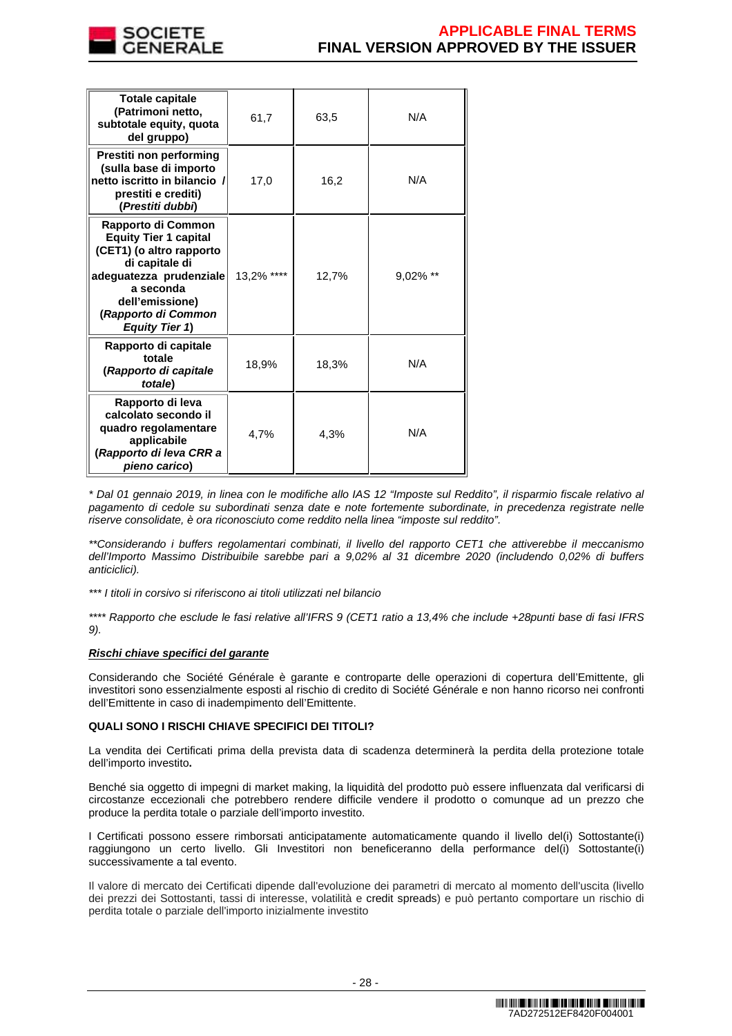

| <b>Totale capitale</b><br>(Patrimoni netto,<br>subtotale equity, quota<br>del gruppo)                                                                                                                       | 61,7       | 63,5  | N/A         |
|-------------------------------------------------------------------------------------------------------------------------------------------------------------------------------------------------------------|------------|-------|-------------|
| Prestiti non performing<br>(sulla base di importo<br>netto iscritto in bilancio /<br>prestiti e crediti)<br>(Prestiti dubbi)                                                                                | 17,0       | 16,2  | N/A         |
| Rapporto di Common<br><b>Equity Tier 1 capital</b><br>(CET1) (o altro rapporto<br>di capitale di<br>adequatezza prudenziale<br>a seconda<br>dell'emissione)<br>(Rapporto di Common<br><b>Equity Tier 1)</b> | 13,2% **** | 12,7% | $9.02\%$ ** |
| Rapporto di capitale<br>totale<br>(Rapporto di capitale<br>totale)                                                                                                                                          | 18,9%      | 18,3% | N/A         |
| Rapporto di leva<br>calcolato secondo il<br>quadro regolamentare<br>applicabile<br>(Rapporto di leva CRR a<br>pieno carico)                                                                                 | 4,7%       | 4,3%  | N/A         |

\* Dal 01 gennaio 2019, in linea con le modifiche allo IAS 12 "Imposte sul Reddito", il risparmio fiscale relativo al pagamento di cedole su subordinati senza date e note fortemente subordinate, in precedenza registrate nelle riserve consolidate, è ora riconosciuto come reddito nella linea "imposte sul reddito".

\*\*Considerando i buffers regolamentari combinati, il livello del rapporto CET1 che attiverebbe il meccanismo dell'Importo Massimo Distribuibile sarebbe pari a 9,02% al 31 dicembre 2020 (includendo 0,02% di buffers anticiclici).

\*\*\* I titoli in corsivo si riferiscono ai titoli utilizzati nel bilancio

\*\*\*\* Rapporto che esclude le fasi relative all'IFRS 9 (CET1 ratio a 13,4% che include +28punti base di fasi IFRS 9).

# **Rischi chiave specifici del garante**

Considerando che Société Générale è garante e controparte delle operazioni di copertura dell'Emittente, gli investitori sono essenzialmente esposti al rischio di credito di Société Générale e non hanno ricorso nei confronti dell'Emittente in caso di inadempimento dell'Emittente.

# **QUALI SONO I RISCHI CHIAVE SPECIFICI DEI TITOLI?**

La vendita dei Certificati prima della prevista data di scadenza determinerà la perdita della protezione totale dell'importo investito**.**

Benché sia oggetto di impegni di market making, la liquidità del prodotto può essere influenzata dal verificarsi di circostanze eccezionali che potrebbero rendere difficile vendere il prodotto o comunque ad un prezzo che produce la perdita totale o parziale dell'importo investito.

I Certificati possono essere rimborsati anticipatamente automaticamente quando il livello del(i) Sottostante(i) raggiungono un certo livello. Gli Investitori non beneficeranno della performance del(i) Sottostante(i) successivamente a tal evento.

Il valore di mercato dei Certificati dipende dall'evoluzione dei parametri di mercato al momento dell'uscita (livello dei prezzi dei Sottostanti, tassi di interesse, volatilità e credit spreads) e può pertanto comportare un rischio di perdita totale o parziale dell'importo inizialmente investito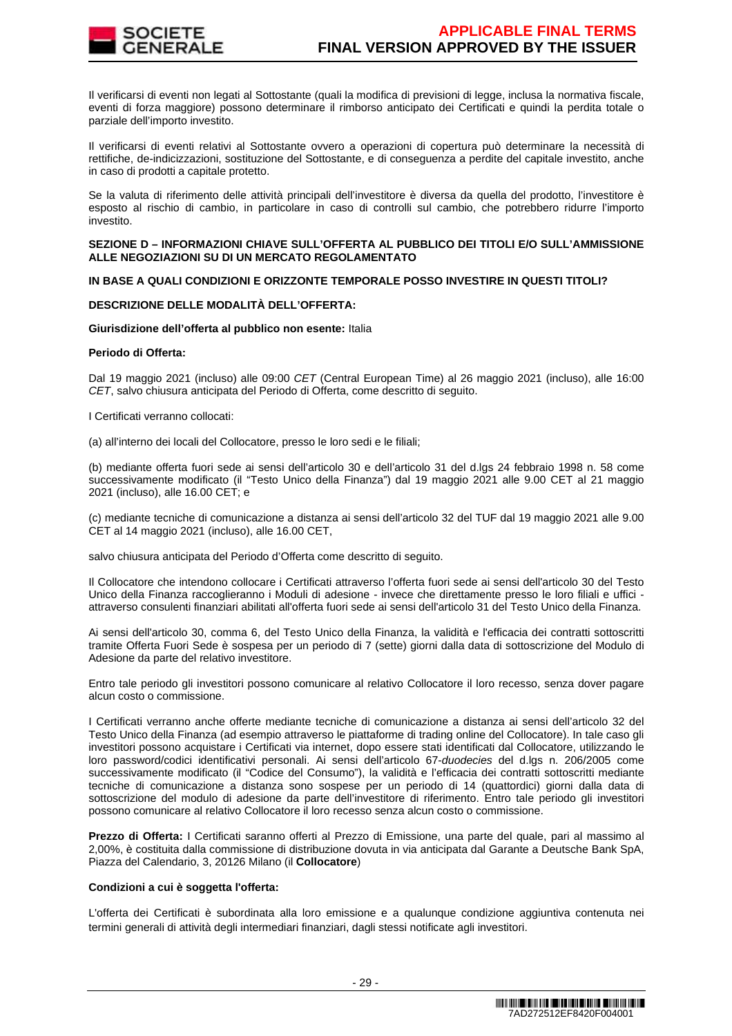

Il verificarsi di eventi non legati al Sottostante (quali la modifica di previsioni di legge, inclusa la normativa fiscale, eventi di forza maggiore) possono determinare il rimborso anticipato dei Certificati e quindi la perdita totale o parziale dell'importo investito.

Il verificarsi di eventi relativi al Sottostante ovvero a operazioni di copertura può determinare la necessità di rettifiche, de-indicizzazioni, sostituzione del Sottostante, e di conseguenza a perdite del capitale investito, anche in caso di prodotti a capitale protetto.

Se la valuta di riferimento delle attività principali dell'investitore è diversa da quella del prodotto, l'investitore è esposto al rischio di cambio, in particolare in caso di controlli sul cambio, che potrebbero ridurre l'importo investito.

## **SEZIONE D – INFORMAZIONI CHIAVE SULL'OFFERTA AL PUBBLICO DEI TITOLI E/O SULL'AMMISSIONE ALLE NEGOZIAZIONI SU DI UN MERCATO REGOLAMENTATO**

# **IN BASE A QUALI CONDIZIONI E ORIZZONTE TEMPORALE POSSO INVESTIRE IN QUESTI TITOLI?**

# **DESCRIZIONE DELLE MODALITÀ DELL'OFFERTA:**

## **Giurisdizione dell'offerta al pubblico non esente:** Italia

# **Periodo di Offerta:**

Dal 19 maggio 2021 (incluso) alle 09:00 CET (Central European Time) al 26 maggio 2021 (incluso), alle 16:00 CET, salvo chiusura anticipata del Periodo di Offerta, come descritto di seguito.

I Certificati verranno collocati:

(a) all'interno dei locali del Collocatore, presso le loro sedi e le filiali;

(b) mediante offerta fuori sede ai sensi dell'articolo 30 e dell'articolo 31 del d.lgs 24 febbraio 1998 n. 58 come successivamente modificato (il "Testo Unico della Finanza") dal 19 maggio 2021 alle 9.00 CET al 21 maggio 2021 (incluso), alle 16.00 CET; e

(c) mediante tecniche di comunicazione a distanza ai sensi dell'articolo 32 del TUF dal 19 maggio 2021 alle 9.00 CET al 14 maggio 2021 (incluso), alle 16.00 CET,

salvo chiusura anticipata del Periodo d'Offerta come descritto di seguito.

Il Collocatore che intendono collocare i Certificati attraverso l'offerta fuori sede ai sensi dell'articolo 30 del Testo Unico della Finanza raccoglieranno i Moduli di adesione - invece che direttamente presso le loro filiali e uffici attraverso consulenti finanziari abilitati all'offerta fuori sede ai sensi dell'articolo 31 del Testo Unico della Finanza.

Ai sensi dell'articolo 30, comma 6, del Testo Unico della Finanza, la validità e l'efficacia dei contratti sottoscritti tramite Offerta Fuori Sede è sospesa per un periodo di 7 (sette) giorni dalla data di sottoscrizione del Modulo di Adesione da parte del relativo investitore.

Entro tale periodo gli investitori possono comunicare al relativo Collocatore il loro recesso, senza dover pagare alcun costo o commissione.

I Certificati verranno anche offerte mediante tecniche di comunicazione a distanza ai sensi dell'articolo 32 del Testo Unico della Finanza (ad esempio attraverso le piattaforme di trading online del Collocatore). In tale caso gli investitori possono acquistare i Certificati via internet, dopo essere stati identificati dal Collocatore, utilizzando le loro password/codici identificativi personali. Ai sensi dell'articolo 67-duodecies del d.lgs n. 206/2005 come successivamente modificato (il "Codice del Consumo"), la validità e l'efficacia dei contratti sottoscritti mediante tecniche di comunicazione a distanza sono sospese per un periodo di 14 (quattordici) giorni dalla data di sottoscrizione del modulo di adesione da parte dell'investitore di riferimento. Entro tale periodo gli investitori possono comunicare al relativo Collocatore il loro recesso senza alcun costo o commissione.

**Prezzo di Offerta:** I Certificati saranno offerti al Prezzo di Emissione, una parte del quale, pari al massimo al 2,00%, è costituita dalla commissione di distribuzione dovuta in via anticipata dal Garante a Deutsche Bank SpA, Piazza del Calendario, 3, 20126 Milano (il **Collocatore**)

## **Condizioni a cui è soggetta l'offerta:**

L'offerta dei Certificati è subordinata alla loro emissione e a qualunque condizione aggiuntiva contenuta nei termini generali di attività degli intermediari finanziari, dagli stessi notificate agli investitori.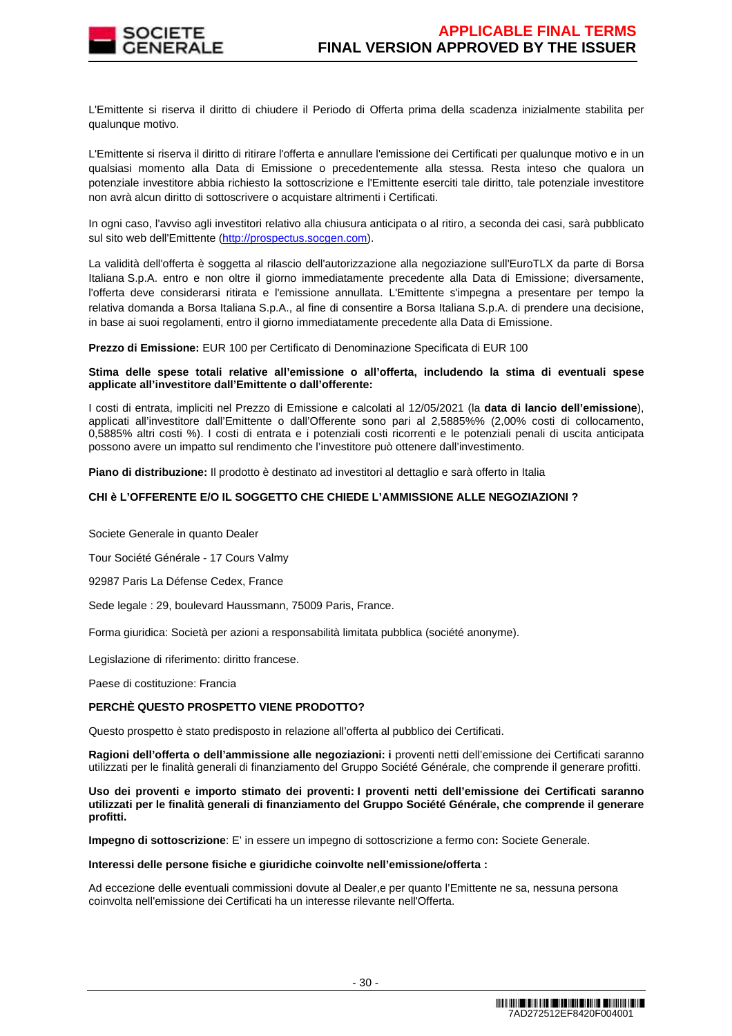

L'Emittente si riserva il diritto di chiudere il Periodo di Offerta prima della scadenza inizialmente stabilita per qualunque motivo.

L'Emittente si riserva il diritto di ritirare l'offerta e annullare l'emissione dei Certificati per qualunque motivo e in un qualsiasi momento alla Data di Emissione o precedentemente alla stessa. Resta inteso che qualora un potenziale investitore abbia richiesto la sottoscrizione e l'Emittente eserciti tale diritto, tale potenziale investitore non avrà alcun diritto di sottoscrivere o acquistare altrimenti i Certificati.

In ogni caso, l'avviso agli investitori relativo alla chiusura anticipata o al ritiro, a seconda dei casi, sarà pubblicato sul sito web dell'Emittente (http://prospectus.socgen.com).

La validità dell'offerta è soggetta al rilascio dell'autorizzazione alla negoziazione sull'EuroTLX da parte di Borsa Italiana S.p.A. entro e non oltre il giorno immediatamente precedente alla Data di Emissione; diversamente, l'offerta deve considerarsi ritirata e l'emissione annullata. L'Emittente s'impegna a presentare per tempo la relativa domanda a Borsa Italiana S.p.A., al fine di consentire a Borsa Italiana S.p.A. di prendere una decisione, in base ai suoi regolamenti, entro il giorno immediatamente precedente alla Data di Emissione.

**Prezzo di Emissione:** EUR 100 per Certificato di Denominazione Specificata di EUR 100

# **Stima delle spese totali relative all'emissione o all'offerta, includendo la stima di eventuali spese applicate all'investitore dall'Emittente o dall'offerente:**

I costi di entrata, impliciti nel Prezzo di Emissione e calcolati al 12/05/2021 (la **data di lancio dell'emissione**), applicati all'investitore dall'Emittente o dall'Offerente sono pari al 2,5885%% (2,00% costi di collocamento, 0,5885% altri costi %). I costi di entrata e i potenziali costi ricorrenti e le potenziali penali di uscita anticipata possono avere un impatto sul rendimento che l'investitore può ottenere dall'investimento.

**Piano di distribuzione:** Il prodotto è destinato ad investitori al dettaglio e sarà offerto in Italia

# **CHI è L'OFFERENTE E/O IL SOGGETTO CHE CHIEDE L'AMMISSIONE ALLE NEGOZIAZIONI ?**

Societe Generale in quanto Dealer

Tour Société Générale - 17 Cours Valmy

92987 Paris La Défense Cedex, France

Sede legale : 29, boulevard Haussmann, 75009 Paris, France.

Forma giuridica: Società per azioni a responsabilità limitata pubblica (société anonyme).

Legislazione di riferimento: diritto francese.

Paese di costituzione: Francia

## **PERCHÈ QUESTO PROSPETTO VIENE PRODOTTO?**

Questo prospetto è stato predisposto in relazione all'offerta al pubblico dei Certificati.

**Ragioni dell'offerta o dell'ammissione alle negoziazioni: i** proventi netti dell'emissione dei Certificati saranno utilizzati per le finalità generali di finanziamento del Gruppo Société Générale, che comprende il generare profitti.

**Uso dei proventi e importo stimato dei proventi: I proventi netti dell'emissione dei Certificati saranno utilizzati per le finalità generali di finanziamento del Gruppo Société Générale, che comprende il generare profitti.** 

**Impegno di sottoscrizione**: E' in essere un impegno di sottoscrizione a fermo con**:** Societe Generale.

#### **Interessi delle persone fisiche e giuridiche coinvolte nell'emissione/offerta :**

Ad eccezione delle eventuali commissioni dovute al Dealer,e per quanto l'Emittente ne sa, nessuna persona coinvolta nell'emissione dei Certificati ha un interesse rilevante nell'Offerta.